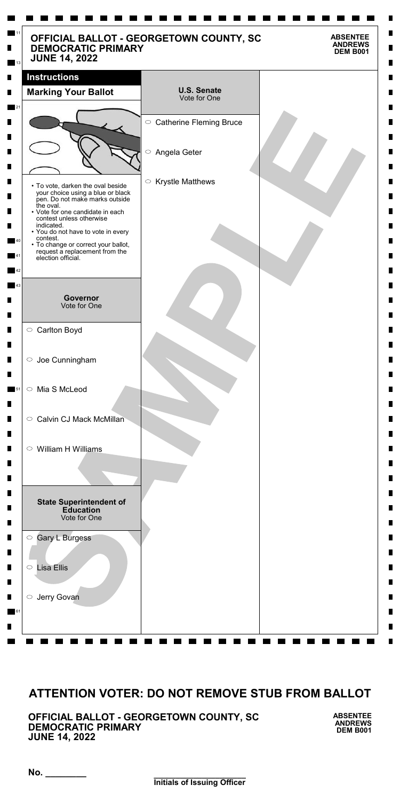**\_\_\_\_\_\_\_\_\_\_\_\_\_\_\_\_\_\_\_\_\_ Initials of Issuing Officer**

**No. \_\_\_\_\_\_\_\_**

**OFFICIAL BALLOT - GEORGETOWN COUNTY, SC DEMOCRATIC PRIMARY JUNE 14, 2022**

**ABSENTEE ANDREWS DEM B001**

| <b>DEMOCRATIC PRIMARY</b><br><b>JUNE 14, 2022</b>                                                                            | OFFICIAL BALLOT - GEORGETOWN COUNTY, SC | <b>ABSENTEE</b><br><b>ANDREWS</b><br><b>DEM B001</b> |
|------------------------------------------------------------------------------------------------------------------------------|-----------------------------------------|------------------------------------------------------|
| <b>Instructions</b><br><b>Marking Your Ballot</b>                                                                            | <b>U.S. Senate</b><br>Vote for One      |                                                      |
|                                                                                                                              | $\circ$ Catherine Fleming Bruce         |                                                      |
|                                                                                                                              | $\bigcirc$<br>Angela Geter              |                                                      |
| • To vote, darken the oval beside<br>your choice using a blue or black<br>pen. Do not make marks outside<br>the oval.        | $\circ$ Krystle Matthews                |                                                      |
| • Vote for one candidate in each<br>contest unless otherwise<br>indicated.<br>• You do not have to vote in every<br>contest. |                                         |                                                      |
| • To change or correct your ballot,<br>request a replacement from the<br>election official.                                  |                                         |                                                      |
| <b>Governor</b><br>Vote for One                                                                                              |                                         |                                                      |
| ○ Carlton Boyd                                                                                                               |                                         |                                                      |
| $\circ$ Joe Cunningham                                                                                                       |                                         |                                                      |
| ○ Mia S McLeod                                                                                                               |                                         |                                                      |
| <b>Calvin CJ Mack McMillan</b><br>$\bigcirc$                                                                                 |                                         |                                                      |
| $\circ$ William H Williams                                                                                                   |                                         |                                                      |
| <b>State Superintendent of</b><br><b>Education</b><br>Vote for One                                                           |                                         |                                                      |
| Gary L Burgess<br>$\bigcirc$                                                                                                 |                                         |                                                      |
| <b>Lisa Ellis</b><br>$\bigcirc$                                                                                              |                                         |                                                      |

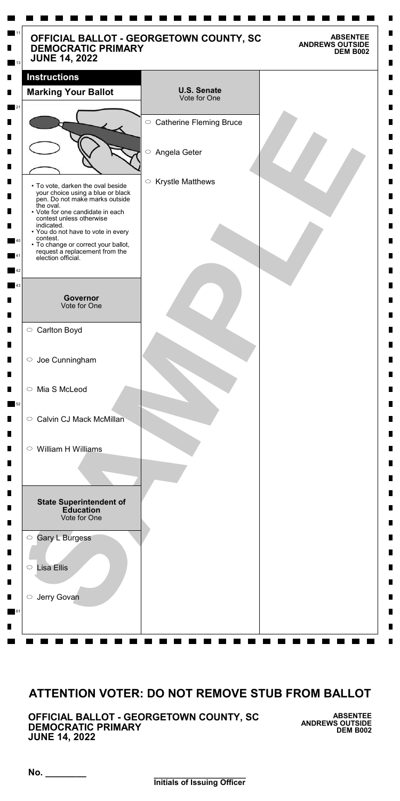**\_\_\_\_\_\_\_\_\_\_\_\_\_\_\_\_\_\_\_\_\_ Initials of Issuing Officer**

**No. \_\_\_\_\_\_\_\_**

**OFFICIAL BALLOT - GEORGETOWN COUNTY, SC DEMOCRATIC PRIMARY JUNE 14, 2022**

**ABSENTEE ANDREWS OUTSIDE DEM B002**

| OFFICIAL BALLOT - GEORGETOWN COUNTY, SC<br><b>DEMOCRATIC PRIMARY</b><br><b>JUNE 14, 2022</b>             |                                    | <b>ABSENTEE</b><br><b>ANDREWS OUTSIDE</b><br><b>DEM B002</b> |
|----------------------------------------------------------------------------------------------------------|------------------------------------|--------------------------------------------------------------|
| <b>Instructions</b>                                                                                      |                                    |                                                              |
| <b>Marking Your Ballot</b>                                                                               | <b>U.S. Senate</b><br>Vote for One |                                                              |
|                                                                                                          | ○ Catherine Fleming Bruce          |                                                              |
|                                                                                                          |                                    |                                                              |
|                                                                                                          | $\bigcirc$<br>Angela Geter         |                                                              |
|                                                                                                          | $\circ$ Krystle Matthews           |                                                              |
| • To vote, darken the oval beside<br>your choice using a blue or black<br>pen. Do not make marks outside |                                    |                                                              |
| the oval.<br>• Vote for one candidate in each<br>contest unless otherwise                                |                                    |                                                              |
| indicated.<br>• You do not have to vote in every<br>contest.                                             |                                    |                                                              |
| • To change or correct your ballot,<br>request a replacement from the<br>election official.              |                                    |                                                              |
|                                                                                                          |                                    |                                                              |
| <b>Governor</b>                                                                                          |                                    |                                                              |
| Vote for One                                                                                             |                                    |                                                              |
| ○ Carlton Boyd                                                                                           |                                    |                                                              |
| $\circ$ Joe Cunningham                                                                                   |                                    |                                                              |
|                                                                                                          |                                    |                                                              |
| Mia S McLeod<br>$\bigcirc$                                                                               |                                    |                                                              |
| <b>Calvin CJ Mack McMillan</b><br>$\bigcirc$                                                             |                                    |                                                              |
|                                                                                                          |                                    |                                                              |
| William H Williams<br>$\bigcirc$                                                                         |                                    |                                                              |
|                                                                                                          |                                    |                                                              |
|                                                                                                          |                                    |                                                              |
| <b>State Superintendent of</b><br><b>Education</b><br>Vote for One                                       |                                    |                                                              |
| C Gary L Burgess                                                                                         |                                    |                                                              |
| <b>Lisa Ellis</b><br>$\bigcirc$                                                                          |                                    |                                                              |

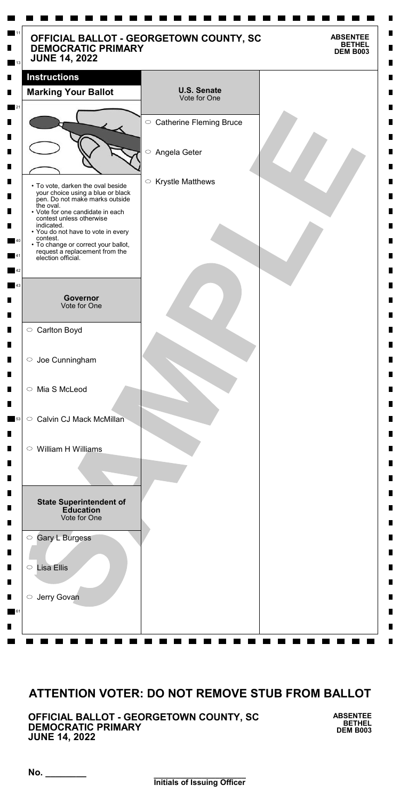**\_\_\_\_\_\_\_\_\_\_\_\_\_\_\_\_\_\_\_\_\_ Initials of Issuing Officer**

**No. \_\_\_\_\_\_\_\_**

**OFFICIAL BALLOT - GEORGETOWN COUNTY, SC DEMOCRATIC PRIMARY JUNE 14, 2022**

**ABSENTEE BETHEL DEM B003**

| <b>DEMOCRATIC PRIMARY</b><br><b>JUNE 14, 2022</b>                                                                                                                                                                                                                                                                                                    | OFFICIAL BALLOT - GEORGETOWN COUNTY, SC | <b>ABSENTEE</b><br><b>BETHEL</b><br><b>DEM B003</b> |
|------------------------------------------------------------------------------------------------------------------------------------------------------------------------------------------------------------------------------------------------------------------------------------------------------------------------------------------------------|-----------------------------------------|-----------------------------------------------------|
| <b>Instructions</b><br><b>Marking Your Ballot</b>                                                                                                                                                                                                                                                                                                    | <b>U.S. Senate</b><br>Vote for One      |                                                     |
|                                                                                                                                                                                                                                                                                                                                                      | ○ Catherine Fleming Bruce               |                                                     |
|                                                                                                                                                                                                                                                                                                                                                      | $\bigcirc$<br>Angela Geter              |                                                     |
| • To vote, darken the oval beside<br>your choice using a blue or black<br>pen. Do not make marks outside<br>the oval.<br>• Vote for one candidate in each<br>contest unless otherwise<br>indicated.<br>• You do not have to vote in every<br>contest.<br>• To change or correct your ballot,<br>request a replacement from the<br>election official. | $\circ$ Krystle Matthews                |                                                     |
| <b>Governor</b><br>Vote for One                                                                                                                                                                                                                                                                                                                      |                                         |                                                     |
| $\circ$ Carlton Boyd                                                                                                                                                                                                                                                                                                                                 |                                         |                                                     |
| $\circ$ Joe Cunningham                                                                                                                                                                                                                                                                                                                               |                                         |                                                     |
| ○ Mia S McLeod                                                                                                                                                                                                                                                                                                                                       |                                         |                                                     |
| <b>Calvin CJ Mack McMillan</b><br>$\circ$                                                                                                                                                                                                                                                                                                            |                                         |                                                     |
| $\circ$ William H Williams                                                                                                                                                                                                                                                                                                                           |                                         |                                                     |
| <b>State Superintendent of</b><br><b>Education</b><br>Vote for One                                                                                                                                                                                                                                                                                   |                                         |                                                     |
| Gary L Burgess<br>$\bigcirc$                                                                                                                                                                                                                                                                                                                         |                                         |                                                     |
| <b>Lisa Ellis</b><br>$\bigcirc$                                                                                                                                                                                                                                                                                                                      |                                         |                                                     |

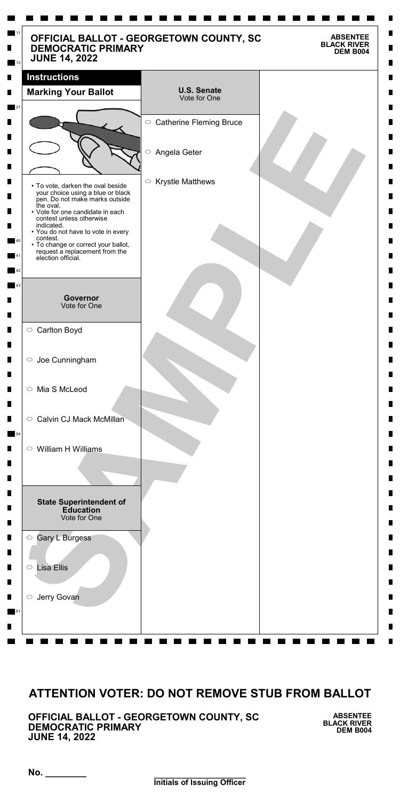**\_\_\_\_\_\_\_\_\_\_\_\_\_\_\_\_\_\_\_\_\_ Initials of Issuing Officer**

**No. \_\_\_\_\_\_\_\_**

**OFFICIAL BALLOT - GEORGETOWN COUNTY, SC DEMOCRATIC PRIMARY JUNE 14, 2022**

**ABSENTEE BLACK RIVER DEM B004**

| <b>DEMOCRATIC PRIMARY</b><br><b>JUNE 14, 2022</b>                                                                             | OFFICIAL BALLOT - GEORGETOWN COUNTY, SC | <b>BLACK RIVER</b><br><b>DEM B004</b> |
|-------------------------------------------------------------------------------------------------------------------------------|-----------------------------------------|---------------------------------------|
| <b>Instructions</b>                                                                                                           |                                         |                                       |
| <b>Marking Your Ballot</b>                                                                                                    | <b>U.S. Senate</b><br>Vote for One      |                                       |
|                                                                                                                               | $\circ$ Catherine Fleming Bruce         |                                       |
|                                                                                                                               | $\bigcirc$<br>Angela Geter              |                                       |
| • To vote, darken the oval beside<br>your choice using a blue or black<br>pen. Do not make marks outside                      | $\circ$ Krystle Matthews                |                                       |
| the oval.<br>• Vote for one candidate in each<br>contest unless otherwise<br>indicated.<br>• You do not have to vote in every |                                         |                                       |
| contest.<br>• To change or correct your ballot,<br>request a replacement from the<br>election official.                       |                                         |                                       |
|                                                                                                                               |                                         |                                       |
| Governor<br>Vote for One                                                                                                      |                                         |                                       |
| ○ Carlton Boyd                                                                                                                |                                         |                                       |
| $\circ$ Joe Cunningham                                                                                                        |                                         |                                       |
| ○ Mia S McLeod                                                                                                                |                                         |                                       |
| <b>Calvin CJ Mack McMillan</b><br>$\circ$                                                                                     |                                         |                                       |
| $\circ$ William H Williams                                                                                                    |                                         |                                       |
|                                                                                                                               |                                         |                                       |
| <b>State Superintendent of</b><br><b>Education</b><br>Vote for One                                                            |                                         |                                       |
| <b>Gary L Burgess</b><br>$\bigcirc$                                                                                           |                                         |                                       |
| <b>Lisa Ellis</b><br>$\bigcirc$                                                                                               |                                         |                                       |

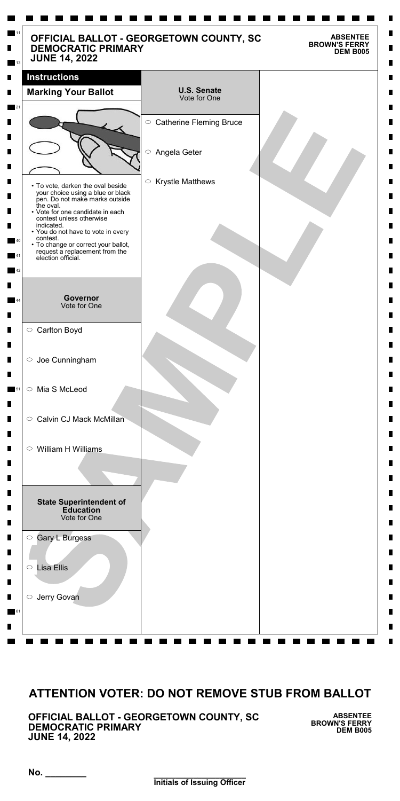**\_\_\_\_\_\_\_\_\_\_\_\_\_\_\_\_\_\_\_\_\_ Initials of Issuing Officer**

**No. \_\_\_\_\_\_\_\_**

**OFFICIAL BALLOT - GEORGETOWN COUNTY, SC DEMOCRATIC PRIMARY JUNE 14, 2022**

**ABSENTEE BROWN'S FERRY DEM B005**

| OFFICIAL BALLOT - GEORGETOWN COUNTY, SC<br><b>DEMOCRATIC PRIMARY</b><br><b>JUNE 14, 2022</b>             |                                       | <b>ABSENTEE</b><br><b>BROWN'S FERRY</b><br><b>DEM B005</b> |
|----------------------------------------------------------------------------------------------------------|---------------------------------------|------------------------------------------------------------|
| <b>Instructions</b>                                                                                      |                                       |                                                            |
| <b>Marking Your Ballot</b>                                                                               | <b>U.S. Senate</b><br>Vote for One    |                                                            |
|                                                                                                          | ○ Catherine Fleming Bruce             |                                                            |
|                                                                                                          |                                       |                                                            |
|                                                                                                          | $\bigcirc$<br>Angela Geter            |                                                            |
|                                                                                                          |                                       |                                                            |
| • To vote, darken the oval beside<br>your choice using a blue or black<br>pen. Do not make marks outside | <b>Krystle Matthews</b><br>$\bigcirc$ |                                                            |
| the oval.<br>• Vote for one candidate in each<br>contest unless otherwise                                |                                       |                                                            |
| indicated.<br>• You do not have to vote in every<br>contest.                                             |                                       |                                                            |
| • To change or correct your ballot,<br>request a replacement from the<br>election official.              |                                       |                                                            |
|                                                                                                          |                                       |                                                            |
| <b>Governor</b>                                                                                          |                                       |                                                            |
| Vote for One                                                                                             |                                       |                                                            |
| ○ Carlton Boyd                                                                                           |                                       |                                                            |
| $\circ$ Joe Cunningham                                                                                   |                                       |                                                            |
|                                                                                                          |                                       |                                                            |
| Mia S McLeod<br>$\bigcirc$                                                                               |                                       |                                                            |
| <b>Calvin CJ Mack McMillan</b><br>$\circ$                                                                |                                       |                                                            |
|                                                                                                          |                                       |                                                            |
| William H Williams<br>$\circ$                                                                            |                                       |                                                            |
|                                                                                                          |                                       |                                                            |
|                                                                                                          |                                       |                                                            |
| <b>State Superintendent of</b><br><b>Education</b><br>Vote for One                                       |                                       |                                                            |
| <b>Gary L Burgess</b><br>$\bigcirc$                                                                      |                                       |                                                            |
| <b>Lisa Ellis</b><br>$\bigcirc$                                                                          |                                       |                                                            |

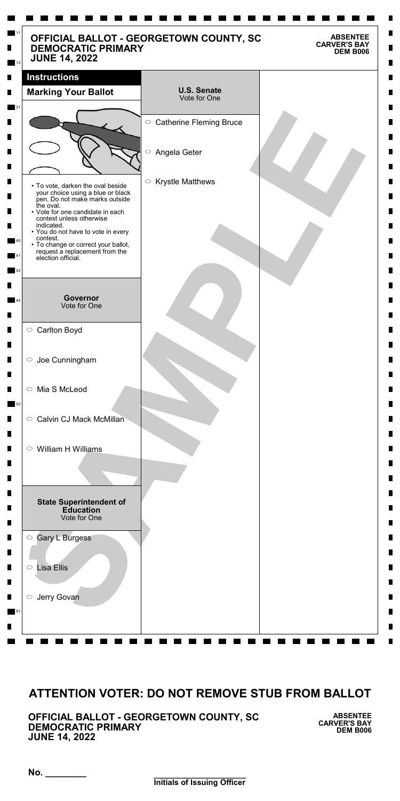**No. \_\_\_\_\_\_\_\_**

**OFFICIAL BALLOT - GEORGETOWN COUNTY, SC DEMOCRATIC PRIMARY JUNE 14, 2022**

**ABSENTEE CARVER'S BAY DEM B006**

| OFFICIAL BALLOT - GEORGETOWN COUNTY, SC<br><b>DEMOCRATIC PRIMARY</b><br><b>JUNE 14, 2022</b>             |                                       | <b>ABSENTEE</b><br><b>CARVER'S BAY</b><br><b>DEM B006</b> |
|----------------------------------------------------------------------------------------------------------|---------------------------------------|-----------------------------------------------------------|
| <b>Instructions</b>                                                                                      |                                       |                                                           |
| <b>Marking Your Ballot</b>                                                                               | <b>U.S. Senate</b><br>Vote for One    |                                                           |
|                                                                                                          |                                       |                                                           |
|                                                                                                          | ○ Catherine Fleming Bruce             |                                                           |
|                                                                                                          | $\bigcirc$<br>Angela Geter            |                                                           |
|                                                                                                          |                                       |                                                           |
| • To vote, darken the oval beside<br>your choice using a blue or black<br>pen. Do not make marks outside | <b>Krystle Matthews</b><br>$\bigcirc$ |                                                           |
| the oval.<br>• Vote for one candidate in each<br>contest unless otherwise                                |                                       |                                                           |
| indicated.<br>• You do not have to vote in every<br>contest.                                             |                                       |                                                           |
| • To change or correct your ballot,<br>request a replacement from the<br>election official.              |                                       |                                                           |
|                                                                                                          |                                       |                                                           |
|                                                                                                          |                                       |                                                           |
| <b>Governor</b><br>Vote for One                                                                          |                                       |                                                           |
| ○ Carlton Boyd                                                                                           |                                       |                                                           |
|                                                                                                          |                                       |                                                           |
| $\circ$ Joe Cunningham                                                                                   |                                       |                                                           |
| Mia S McLeod<br>$\bigcirc$                                                                               |                                       |                                                           |
|                                                                                                          |                                       |                                                           |
| <b>Calvin CJ Mack McMillan</b><br>$\circ$                                                                |                                       |                                                           |
| William H Williams<br>$\circ$                                                                            |                                       |                                                           |
|                                                                                                          |                                       |                                                           |
|                                                                                                          |                                       |                                                           |
| <b>State Superintendent of</b>                                                                           |                                       |                                                           |
| <b>Education</b><br>Vote for One                                                                         |                                       |                                                           |
| <b>Gary L Burgess</b><br>$\bigcirc$                                                                      |                                       |                                                           |
|                                                                                                          |                                       |                                                           |

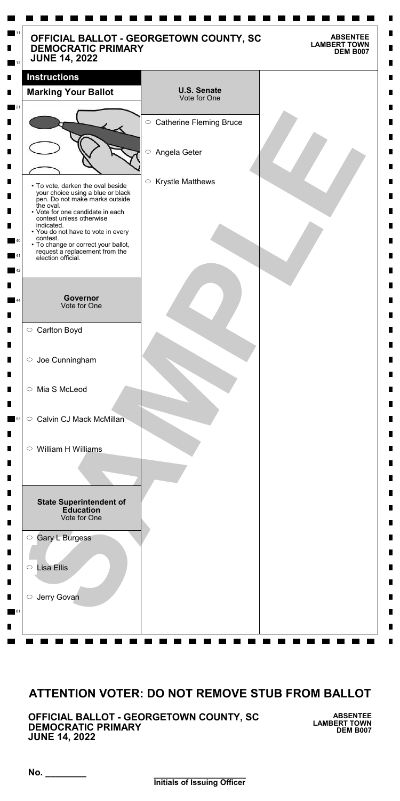**\_\_\_\_\_\_\_\_\_\_\_\_\_\_\_\_\_\_\_\_\_ Initials of Issuing Officer**

**No. \_\_\_\_\_\_\_\_**

**OFFICIAL BALLOT - GEORGETOWN COUNTY, SC DEMOCRATIC PRIMARY JUNE 14, 2022**

**ABSENTEE LAMBERT TOWN DEM B007**

| <b>DEMOCRATIC PRIMARY</b><br><b>JUNE 14, 2022</b>                                                        | OFFICIAL BALLOT - GEORGETOWN COUNTY, SC | <b>ABSENTEE</b><br><b>LAMBERT TOWN</b><br><b>DEM B007</b> |
|----------------------------------------------------------------------------------------------------------|-----------------------------------------|-----------------------------------------------------------|
| <b>Instructions</b>                                                                                      |                                         |                                                           |
| <b>Marking Your Ballot</b>                                                                               | <b>U.S. Senate</b><br>Vote for One      |                                                           |
|                                                                                                          | ○ Catherine Fleming Bruce               |                                                           |
|                                                                                                          | $\bigcirc$<br>Angela Geter              |                                                           |
| • To vote, darken the oval beside<br>your choice using a blue or black<br>pen. Do not make marks outside | <b>Krystle Matthews</b><br>$\bigcirc$   |                                                           |
| the oval.<br>• Vote for one candidate in each<br>contest unless otherwise<br>indicated.                  |                                         |                                                           |
| • You do not have to vote in every<br>contest.<br>• To change or correct your ballot,                    |                                         |                                                           |
| request a replacement from the<br>election official.                                                     |                                         |                                                           |
| <b>Governor</b><br>Vote for One                                                                          |                                         |                                                           |
| ○ Carlton Boyd                                                                                           |                                         |                                                           |
| $\circ$ Joe Cunningham                                                                                   |                                         |                                                           |
| ○ Mia S McLeod                                                                                           |                                         |                                                           |
| <b>Calvin CJ Mack McMillan</b><br>$\circ$                                                                |                                         |                                                           |
| William H Williams<br>$\circ$                                                                            |                                         |                                                           |
|                                                                                                          |                                         |                                                           |
| <b>State Superintendent of</b><br><b>Education</b><br>Vote for One                                       |                                         |                                                           |
| <b>Gary L Burgess</b><br>$\bigcirc$                                                                      |                                         |                                                           |
| <b>Lisa Ellis</b><br>$\bigcirc$                                                                          |                                         |                                                           |

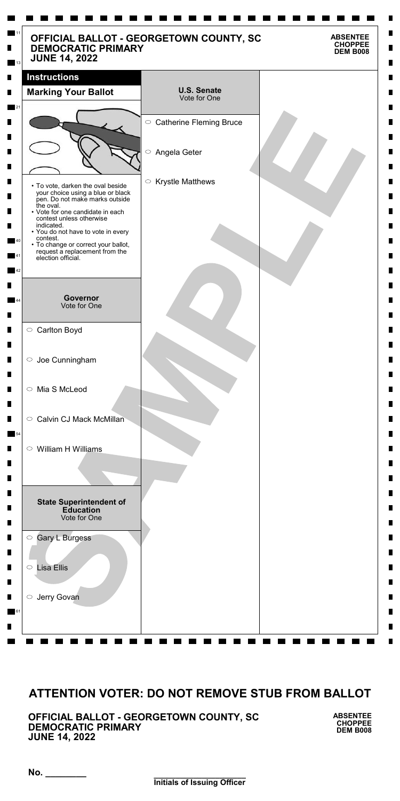**\_\_\_\_\_\_\_\_\_\_\_\_\_\_\_\_\_\_\_\_\_ Initials of Issuing Officer**

**No. \_\_\_\_\_\_\_\_**

**OFFICIAL BALLOT - GEORGETOWN COUNTY, SC DEMOCRATIC PRIMARY JUNE 14, 2022**

**ABSENTEE CHOPPEE DEM B008**

| <b>DEMOCRATIC PRIMARY</b><br><b>JUNE 14, 2022</b>                                                                                             | OFFICIAL BALLOT - GEORGETOWN COUNTY, SC | <b>ABSENTEE</b><br><b>CHOPPEE</b><br><b>DEM B008</b> |
|-----------------------------------------------------------------------------------------------------------------------------------------------|-----------------------------------------|------------------------------------------------------|
| <b>Instructions</b>                                                                                                                           |                                         |                                                      |
| <b>Marking Your Ballot</b>                                                                                                                    | <b>U.S. Senate</b><br>Vote for One      |                                                      |
|                                                                                                                                               | $\circ$ Catherine Fleming Bruce         |                                                      |
|                                                                                                                                               | $\bigcirc$<br>Angela Geter              |                                                      |
| • To vote, darken the oval beside<br>your choice using a blue or black<br>pen. Do not make marks outside                                      | $\circ$ Krystle Matthews                |                                                      |
| the oval.<br>• Vote for one candidate in each<br>contest unless otherwise<br>indicated.                                                       |                                         |                                                      |
| • You do not have to vote in every<br>contest.<br>• To change or correct your ballot,<br>request a replacement from the<br>election official. |                                         |                                                      |
|                                                                                                                                               |                                         |                                                      |
| Governor<br>Vote for One                                                                                                                      |                                         |                                                      |
| ○ Carlton Boyd                                                                                                                                |                                         |                                                      |
| $\circ$ Joe Cunningham                                                                                                                        |                                         |                                                      |
| ○ Mia S McLeod                                                                                                                                |                                         |                                                      |
| <b>Calvin CJ Mack McMillan</b><br>$\circ$                                                                                                     |                                         |                                                      |
| $\circ$ William H Williams                                                                                                                    |                                         |                                                      |
|                                                                                                                                               |                                         |                                                      |
| <b>State Superintendent of</b><br><b>Education</b><br>Vote for One                                                                            |                                         |                                                      |
| <b>Gary L Burgess</b><br>$\bigcirc$                                                                                                           |                                         |                                                      |
| <b>Lisa Ellis</b><br>$\bigcirc$                                                                                                               |                                         |                                                      |

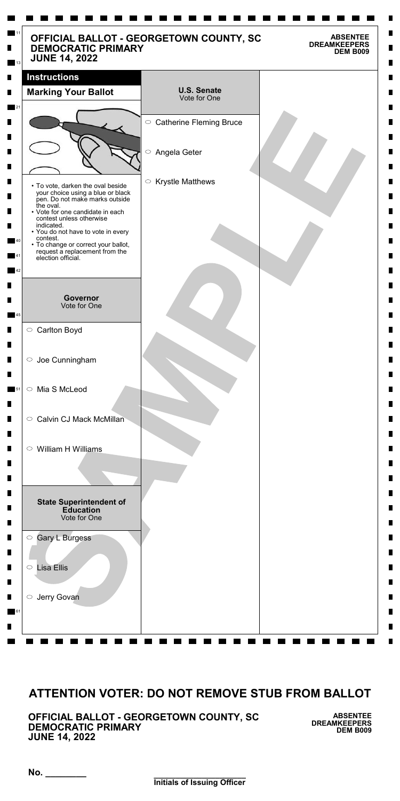**\_\_\_\_\_\_\_\_\_\_\_\_\_\_\_\_\_\_\_\_\_ Initials of Issuing Officer**

**No. \_\_\_\_\_\_\_\_**

**OFFICIAL BALLOT - GEORGETOWN COUNTY, SC DEMOCRATIC PRIMARY JUNE 14, 2022**

**ABSENTEE DREAMKEEPERS DEM B009**

| OFFICIAL BALLOT - GEORGETOWN COUNTY, SC<br><b>DEMOCRATIC PRIMARY</b><br><b>JUNE 14, 2022</b>             |                                       | <b>ABSENTEE</b><br><b>DREAMKEEPERS</b><br><b>DEM B009</b> |
|----------------------------------------------------------------------------------------------------------|---------------------------------------|-----------------------------------------------------------|
| <b>Instructions</b>                                                                                      |                                       |                                                           |
| <b>Marking Your Ballot</b>                                                                               | <b>U.S. Senate</b><br>Vote for One    |                                                           |
|                                                                                                          | ○ Catherine Fleming Bruce             |                                                           |
|                                                                                                          |                                       |                                                           |
|                                                                                                          | $\bigcirc$<br>Angela Geter            |                                                           |
|                                                                                                          |                                       |                                                           |
| • To vote, darken the oval beside<br>your choice using a blue or black<br>pen. Do not make marks outside | <b>Krystle Matthews</b><br>$\bigcirc$ |                                                           |
| the oval.<br>• Vote for one candidate in each<br>contest unless otherwise                                |                                       |                                                           |
| indicated.<br>• You do not have to vote in every                                                         |                                       |                                                           |
| contest.<br>• To change or correct your ballot,<br>request a replacement from the<br>election official.  |                                       |                                                           |
|                                                                                                          |                                       |                                                           |
|                                                                                                          |                                       |                                                           |
| <b>Governor</b><br>Vote for One                                                                          |                                       |                                                           |
| ○ Carlton Boyd                                                                                           |                                       |                                                           |
| $\circ$ Joe Cunningham                                                                                   |                                       |                                                           |
|                                                                                                          |                                       |                                                           |
| Mia S McLeod<br>$\bigcirc$                                                                               |                                       |                                                           |
| <b>Calvin CJ Mack McMillan</b><br>$\circ$                                                                |                                       |                                                           |
|                                                                                                          |                                       |                                                           |
| William H Williams<br>$\circ$                                                                            |                                       |                                                           |
|                                                                                                          |                                       |                                                           |
|                                                                                                          |                                       |                                                           |
| <b>State Superintendent of</b><br><b>Education</b><br>Vote for One                                       |                                       |                                                           |
| <b>Gary L Burgess</b><br>$\bigcirc$                                                                      |                                       |                                                           |
| <b>Lisa Ellis</b><br>$\bigcirc$                                                                          |                                       |                                                           |

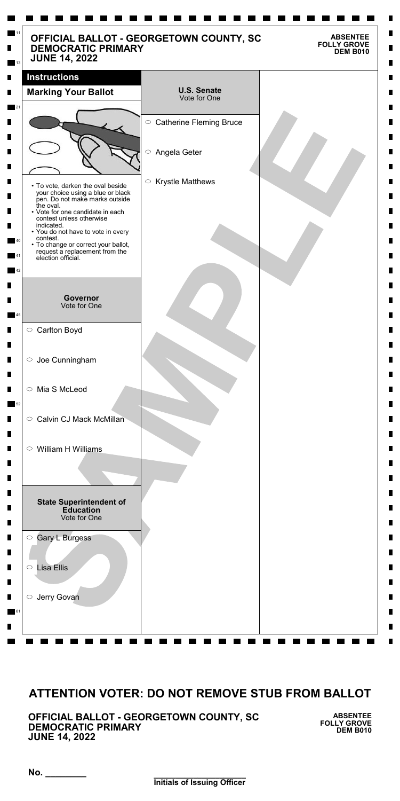**\_\_\_\_\_\_\_\_\_\_\_\_\_\_\_\_\_\_\_\_\_ Initials of Issuing Officer**

**No. \_\_\_\_\_\_\_\_**

**OFFICIAL BALLOT - GEORGETOWN COUNTY, SC DEMOCRATIC PRIMARY JUNE 14, 2022**

**ABSENTEE FOLLY GROVE DEM B010**

| <b>DEMOCRATIC PRIMARY</b><br><b>JUNE 14, 2022</b>                                                        | OFFICIAL BALLOT - GEORGETOWN COUNTY, SC | <b>ABSENTEE</b><br><b>FOLLY GROVE</b><br><b>DEM B010</b> |
|----------------------------------------------------------------------------------------------------------|-----------------------------------------|----------------------------------------------------------|
| <b>Instructions</b>                                                                                      |                                         |                                                          |
| <b>Marking Your Ballot</b>                                                                               | <b>U.S. Senate</b><br>Vote for One      |                                                          |
|                                                                                                          |                                         |                                                          |
|                                                                                                          | ○ Catherine Fleming Bruce               |                                                          |
|                                                                                                          | $\bigcirc$<br>Angela Geter              |                                                          |
|                                                                                                          |                                         |                                                          |
| • To vote, darken the oval beside<br>your choice using a blue or black<br>pen. Do not make marks outside | <b>Krystle Matthews</b><br>$\bigcirc$   |                                                          |
| the oval.<br>• Vote for one candidate in each<br>contest unless otherwise                                |                                         |                                                          |
| indicated.<br>• You do not have to vote in every<br>contest.                                             |                                         |                                                          |
| • To change or correct your ballot,<br>request a replacement from the<br>election official.              |                                         |                                                          |
|                                                                                                          |                                         |                                                          |
| <b>Governor</b>                                                                                          |                                         |                                                          |
| Vote for One                                                                                             |                                         |                                                          |
| ○ Carlton Boyd                                                                                           |                                         |                                                          |
| $\circ$ Joe Cunningham                                                                                   |                                         |                                                          |
|                                                                                                          |                                         |                                                          |
| Mia S McLeod<br>$\bigcirc$                                                                               |                                         |                                                          |
|                                                                                                          |                                         |                                                          |
| <b>Calvin CJ Mack McMillan</b><br>$\bigcirc$                                                             |                                         |                                                          |
| William H Williams<br>$\bigcirc$                                                                         |                                         |                                                          |
|                                                                                                          |                                         |                                                          |
|                                                                                                          |                                         |                                                          |
| <b>State Superintendent of</b>                                                                           |                                         |                                                          |
| <b>Education</b><br>Vote for One                                                                         |                                         |                                                          |
| <b>Gary L Burgess</b><br>$\bigcirc$                                                                      |                                         |                                                          |
|                                                                                                          |                                         |                                                          |
| <b>Lisa Ellis</b><br>$\bigcirc$                                                                          |                                         |                                                          |

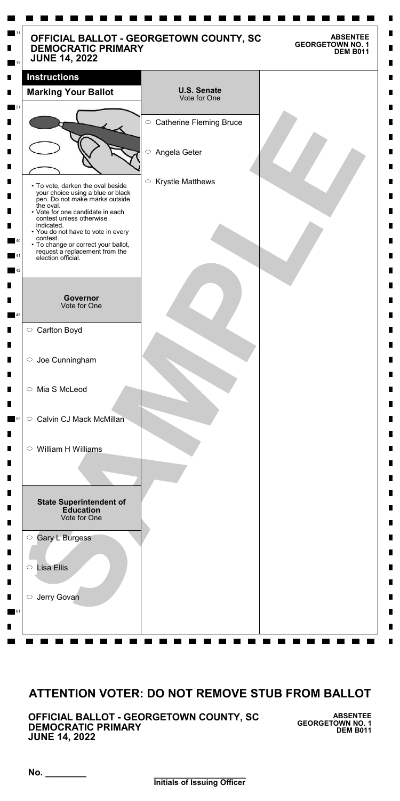**\_\_\_\_\_\_\_\_\_\_\_\_\_\_\_\_\_\_\_\_\_ Initials of Issuing Officer**

**No. \_\_\_\_\_\_\_\_**

**OFFICIAL BALLOT - GEORGETOWN COUNTY, SC DEMOCRATIC PRIMARY JUNE 14, 2022**

**ABSENTEE GEORGETOWN NO. 1 DEM B011**

| <b>JUNE 14, 2022</b>                                                                                     |                                    |
|----------------------------------------------------------------------------------------------------------|------------------------------------|
| <b>Instructions</b>                                                                                      |                                    |
| <b>Marking Your Ballot</b>                                                                               | <b>U.S. Senate</b><br>Vote for One |
|                                                                                                          | ○ Catherine Fleming Bruce          |
|                                                                                                          |                                    |
|                                                                                                          | $\bigcirc$<br>Angela Geter         |
| • To vote, darken the oval beside<br>your choice using a blue or black<br>pen. Do not make marks outside | $\circ$ Krystle Matthews           |
| the oval.<br>• Vote for one candidate in each<br>contest unless otherwise<br>indicated.                  |                                    |
| • You do not have to vote in every<br>contest.<br>• To change or correct your ballot,                    |                                    |
| request a replacement from the<br>election official.                                                     |                                    |
|                                                                                                          |                                    |
| <b>Governor</b><br>Vote for One                                                                          |                                    |
|                                                                                                          |                                    |
| ○ Carlton Boyd                                                                                           |                                    |
| $\circ$ Joe Cunningham                                                                                   |                                    |
| ○ Mia S McLeod                                                                                           |                                    |
| Calvin CJ Mack McMillan<br>$\circ$                                                                       |                                    |
| William H Williams<br>$\circ$                                                                            |                                    |
|                                                                                                          |                                    |
| <b>State Superintendent of</b><br><b>Education</b><br>Vote for One                                       |                                    |
| Gary L Burgess<br>$\bigcirc$                                                                             |                                    |

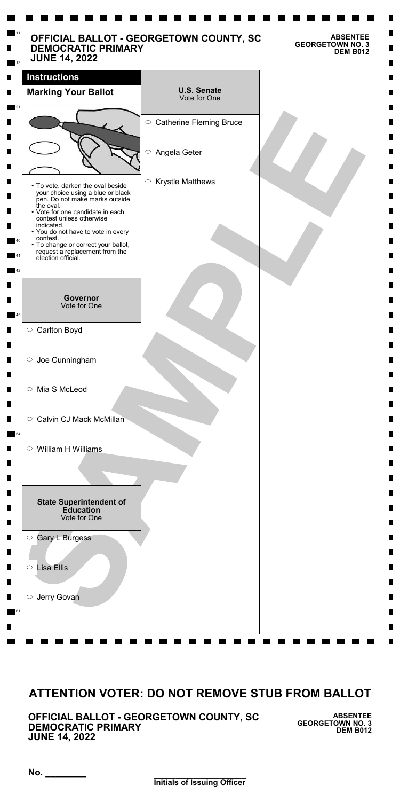**\_\_\_\_\_\_\_\_\_\_\_\_\_\_\_\_\_\_\_\_\_ Initials of Issuing Officer**

**No. \_\_\_\_\_\_\_\_**

**OFFICIAL BALLOT - GEORGETOWN COUNTY, SC DEMOCRATIC PRIMARY JUNE 14, 2022**

**ABSENTEE GEORGETOWN NO. 3 DEM B012**

| <b>Instructions</b>                                                                                                          |                                       |
|------------------------------------------------------------------------------------------------------------------------------|---------------------------------------|
| <b>Marking Your Ballot</b>                                                                                                   | <b>U.S. Senate</b><br>Vote for One    |
|                                                                                                                              | ○ Catherine Fleming Bruce             |
|                                                                                                                              | $\bigcirc$<br>Angela Geter            |
| • To vote, darken the oval beside<br>your choice using a blue or black<br>pen. Do not make marks outside<br>the oval.        | <b>Krystle Matthews</b><br>$\bigcirc$ |
| • Vote for one candidate in each<br>contest unless otherwise<br>indicated.<br>• You do not have to vote in every<br>contest. |                                       |
| • To change or correct your ballot,<br>request a replacement from the<br>election official.                                  |                                       |
| <b>Governor</b><br>Vote for One                                                                                              |                                       |
| ○ Carlton Boyd                                                                                                               |                                       |
| $\circ$ Joe Cunningham                                                                                                       |                                       |
| ○ Mia S McLeod                                                                                                               |                                       |
| <b>Calvin CJ Mack McMillan</b><br>$\circ$                                                                                    |                                       |
| $\circ$ William H Williams                                                                                                   |                                       |
|                                                                                                                              |                                       |
| <b>State Superintendent of</b><br><b>Education</b><br>Vote for One                                                           |                                       |

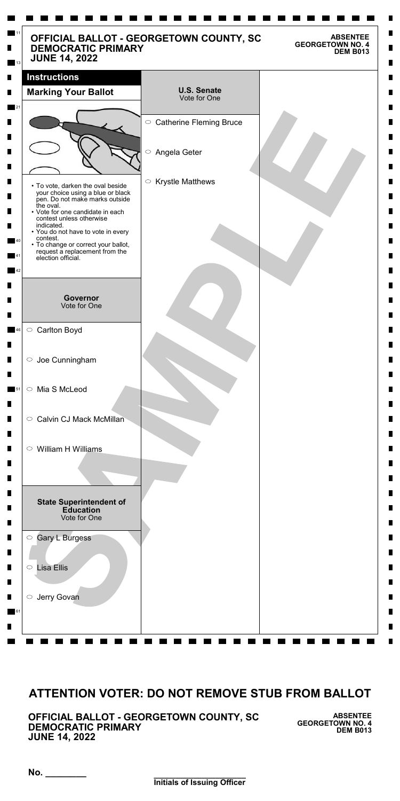**\_\_\_\_\_\_\_\_\_\_\_\_\_\_\_\_\_\_\_\_\_ Initials of Issuing Officer**

**No. \_\_\_\_\_\_\_\_**

**OFFICIAL BALLOT - GEORGETOWN COUNTY, SC DEMOCRATIC PRIMARY JUNE 14, 2022**

**ABSENTEE GEORGETOWN NO. 4 DEM B013**

| <b>DEMOCRATIC PRIMARY</b><br><b>JUNE 14, 2022</b>                                                                                                                                                                                                                                                                                                    | OFFICIAL BALLOT - GEORGETOWN COUNTY, SC<br><b>ABSENTEE</b><br><b>GEORGETOWN NO. 4</b><br><b>DEM B013</b> |
|------------------------------------------------------------------------------------------------------------------------------------------------------------------------------------------------------------------------------------------------------------------------------------------------------------------------------------------------------|----------------------------------------------------------------------------------------------------------|
| <b>Instructions</b>                                                                                                                                                                                                                                                                                                                                  |                                                                                                          |
| <b>Marking Your Ballot</b>                                                                                                                                                                                                                                                                                                                           | <b>U.S. Senate</b><br>Vote for One                                                                       |
|                                                                                                                                                                                                                                                                                                                                                      | ○ Catherine Fleming Bruce                                                                                |
|                                                                                                                                                                                                                                                                                                                                                      | $\bigcirc$<br>Angela Geter                                                                               |
| • To vote, darken the oval beside<br>your choice using a blue or black<br>pen. Do not make marks outside<br>the oval.<br>• Vote for one candidate in each<br>contest unless otherwise<br>indicated.<br>• You do not have to vote in every<br>contest.<br>• To change or correct your ballot,<br>request a replacement from the<br>election official. | <b>Krystle Matthews</b><br>$\bigcirc$                                                                    |
| <b>Governor</b><br>Vote for One                                                                                                                                                                                                                                                                                                                      |                                                                                                          |
| ○ Carlton Boyd                                                                                                                                                                                                                                                                                                                                       |                                                                                                          |
| $\circ$ Joe Cunningham                                                                                                                                                                                                                                                                                                                               |                                                                                                          |
| Mia S McLeod<br>$\bigcirc$                                                                                                                                                                                                                                                                                                                           |                                                                                                          |
| <b>Calvin CJ Mack McMillan</b><br>$\circ$                                                                                                                                                                                                                                                                                                            |                                                                                                          |
| $\circ$ William H Williams                                                                                                                                                                                                                                                                                                                           |                                                                                                          |
| <b>State Superintendent of</b><br><b>Education</b><br>Vote for One                                                                                                                                                                                                                                                                                   |                                                                                                          |
| <b>Gary L Burgess</b><br>$\bigcirc$                                                                                                                                                                                                                                                                                                                  |                                                                                                          |
| <b>Lisa Ellis</b><br>$\bigcirc$                                                                                                                                                                                                                                                                                                                      |                                                                                                          |

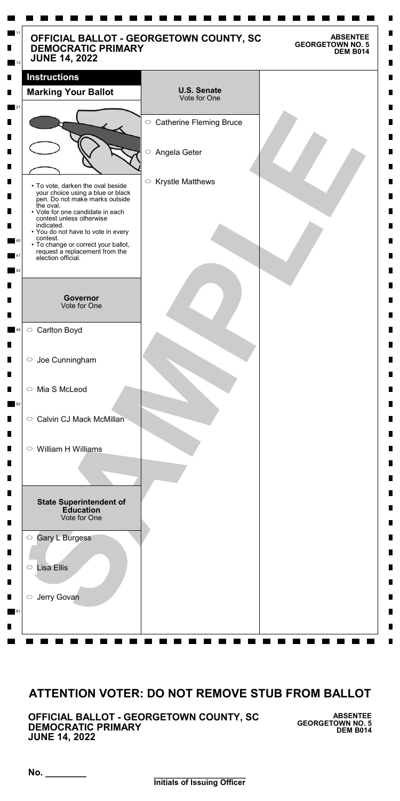**\_\_\_\_\_\_\_\_\_\_\_\_\_\_\_\_\_\_\_\_\_ Initials of Issuing Officer**

**No. \_\_\_\_\_\_\_\_**

**OFFICIAL BALLOT - GEORGETOWN COUNTY, SC DEMOCRATIC PRIMARY JUNE 14, 2022**

**ABSENTEE GEORGETOWN NO. 5 DEM B014**

| <b>DEMOCRATIC PRIMARY</b><br><b>JUNE 14, 2022</b>                                                                     | OFFICIAL BALLOT - GEORGETOWN COUNTY, SC | <b>ABSENTEE</b><br><b>GEORGETOWN NO. 5</b><br><b>DEM B014</b> |
|-----------------------------------------------------------------------------------------------------------------------|-----------------------------------------|---------------------------------------------------------------|
| <b>Instructions</b>                                                                                                   |                                         |                                                               |
| <b>Marking Your Ballot</b>                                                                                            | <b>U.S. Senate</b><br>Vote for One      |                                                               |
|                                                                                                                       | ○ Catherine Fleming Bruce               |                                                               |
|                                                                                                                       | $\bigcirc$<br>Angela Geter              |                                                               |
|                                                                                                                       | $\bigcirc$                              |                                                               |
| • To vote, darken the oval beside<br>your choice using a blue or black<br>pen. Do not make marks outside<br>the oval. | <b>Krystle Matthews</b>                 |                                                               |
| • Vote for one candidate in each<br>contest unless otherwise                                                          |                                         |                                                               |
| indicated.<br>• You do not have to vote in every<br>contest.                                                          |                                         |                                                               |
| • To change or correct your ballot,<br>request a replacement from the<br>election official.                           |                                         |                                                               |
|                                                                                                                       |                                         |                                                               |
| <b>Governor</b><br>Vote for One                                                                                       |                                         |                                                               |
| ○ Carlton Boyd                                                                                                        |                                         |                                                               |
| $\circ$ Joe Cunningham                                                                                                |                                         |                                                               |
| Mia S McLeod<br>$\circ$                                                                                               |                                         |                                                               |
| <b>Calvin CJ Mack McMillan</b><br>$\circ$                                                                             |                                         |                                                               |
| William H Williams<br>$\circ$                                                                                         |                                         |                                                               |
|                                                                                                                       |                                         |                                                               |
| <b>State Superintendent of</b><br><b>Education</b><br>Vote for One                                                    |                                         |                                                               |
| <b>Gary L Burgess</b><br>$\bigcirc$                                                                                   |                                         |                                                               |
| <b>Lisa Ellis</b><br>$\bigcirc$                                                                                       |                                         |                                                               |

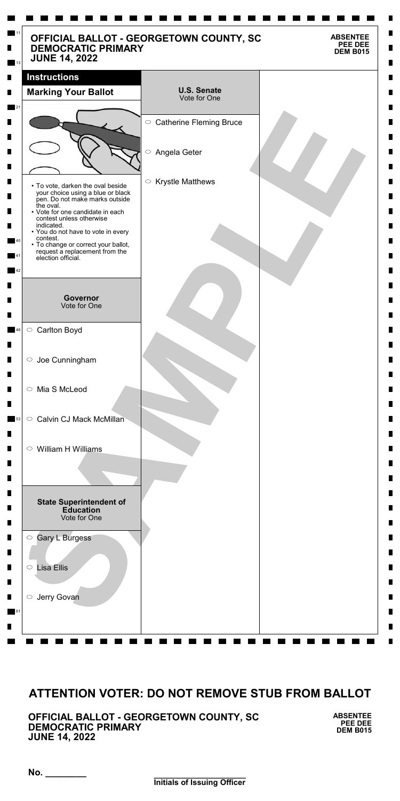**\_\_\_\_\_\_\_\_\_\_\_\_\_\_\_\_\_\_\_\_\_ Initials of Issuing Officer**

**No. \_\_\_\_\_\_\_\_**

**OFFICIAL BALLOT - GEORGETOWN COUNTY, SC DEMOCRATIC PRIMARY JUNE 14, 2022**

**ABSENTEE PEE DEE DEM B015**

| <b>DEMOCRATIC PRIMARY</b><br><b>JUNE 14, 2022</b>                                                                                             | OFFICIAL BALLOT - GEORGETOWN COUNTY, SC | <b>ABSENTEE</b><br>PEE DEE<br><b>DEM B015</b> |
|-----------------------------------------------------------------------------------------------------------------------------------------------|-----------------------------------------|-----------------------------------------------|
| <b>Instructions</b>                                                                                                                           |                                         |                                               |
| <b>Marking Your Ballot</b>                                                                                                                    | <b>U.S. Senate</b><br>Vote for One      |                                               |
|                                                                                                                                               | ○ Catherine Fleming Bruce               |                                               |
|                                                                                                                                               | $\bigcirc$<br>Angela Geter              |                                               |
| • To vote, darken the oval beside<br>your choice using a blue or black<br>pen. Do not make marks outside                                      | $\circ$ Krystle Matthews                |                                               |
| the oval.<br>• Vote for one candidate in each<br>contest unless otherwise<br>indicated.                                                       |                                         |                                               |
| • You do not have to vote in every<br>contest.<br>• To change or correct your ballot,<br>request a replacement from the<br>election official. |                                         |                                               |
|                                                                                                                                               |                                         |                                               |
| <b>Governor</b><br>Vote for One                                                                                                               |                                         |                                               |
| ○ Carlton Boyd                                                                                                                                |                                         |                                               |
| $\circ$ Joe Cunningham                                                                                                                        |                                         |                                               |
| Mia S McLeod<br>$\circ$                                                                                                                       |                                         |                                               |
| Calvin CJ Mack McMillan<br>$\circ$                                                                                                            |                                         |                                               |
| $\circ$ William H Williams                                                                                                                    |                                         |                                               |
| <b>State Superintendent of</b><br><b>Education</b><br>Vote for One                                                                            |                                         |                                               |
| Gary L Burgess<br>$\bigcirc$                                                                                                                  |                                         |                                               |
| <b>Lisa Ellis</b><br>$\bigcirc$                                                                                                               |                                         |                                               |

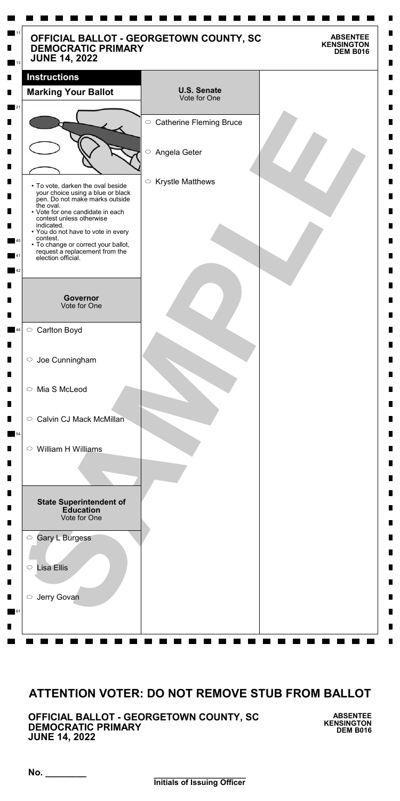**\_\_\_\_\_\_\_\_\_\_\_\_\_\_\_\_\_\_\_\_\_ Initials of Issuing Officer**

**No. \_\_\_\_\_\_\_\_**

**OFFICIAL BALLOT - GEORGETOWN COUNTY, SC DEMOCRATIC PRIMARY JUNE 14, 2022**

**ABSENTEE KENSINGTON DEM B016**

| <b>DEMOCRATIC PRIMARY</b><br><b>JUNE 14, 2022</b>                                                                     | OFFICIAL BALLOT - GEORGETOWN COUNTY, SC | <b>ABSENTEE</b><br><b>KENSINGTON</b><br><b>DEM B016</b> |
|-----------------------------------------------------------------------------------------------------------------------|-----------------------------------------|---------------------------------------------------------|
| <b>Instructions</b>                                                                                                   |                                         |                                                         |
| <b>Marking Your Ballot</b>                                                                                            | <b>U.S. Senate</b><br>Vote for One      |                                                         |
|                                                                                                                       |                                         |                                                         |
|                                                                                                                       | ○ Catherine Fleming Bruce               |                                                         |
|                                                                                                                       | $\bigcirc$<br>Angela Geter              |                                                         |
|                                                                                                                       |                                         |                                                         |
| • To vote, darken the oval beside<br>your choice using a blue or black<br>pen. Do not make marks outside<br>the oval. | <b>Krystle Matthews</b><br>$\bigcirc$   |                                                         |
| • Vote for one candidate in each<br>contest unless otherwise                                                          |                                         |                                                         |
| indicated.<br>• You do not have to vote in every<br>contest.                                                          |                                         |                                                         |
| • To change or correct your ballot,<br>request a replacement from the<br>election official.                           |                                         |                                                         |
|                                                                                                                       |                                         |                                                         |
| <b>Governor</b>                                                                                                       |                                         |                                                         |
| Vote for One                                                                                                          |                                         |                                                         |
| ○ Carlton Boyd                                                                                                        |                                         |                                                         |
|                                                                                                                       |                                         |                                                         |
| $\circ$ Joe Cunningham                                                                                                |                                         |                                                         |
| ○ Mia S McLeod                                                                                                        |                                         |                                                         |
|                                                                                                                       |                                         |                                                         |
| <b>Calvin CJ Mack McMillan</b><br>$\circ$                                                                             |                                         |                                                         |
| William H Williams<br>$\circ$                                                                                         |                                         |                                                         |
|                                                                                                                       |                                         |                                                         |
|                                                                                                                       |                                         |                                                         |
| <b>State Superintendent of</b>                                                                                        |                                         |                                                         |
| <b>Education</b><br>Vote for One                                                                                      |                                         |                                                         |
| <b>Gary L Burgess</b><br>$\bigcirc$                                                                                   |                                         |                                                         |
|                                                                                                                       |                                         |                                                         |
| <b>Lisa Ellis</b><br>$\bigcirc$                                                                                       |                                         |                                                         |

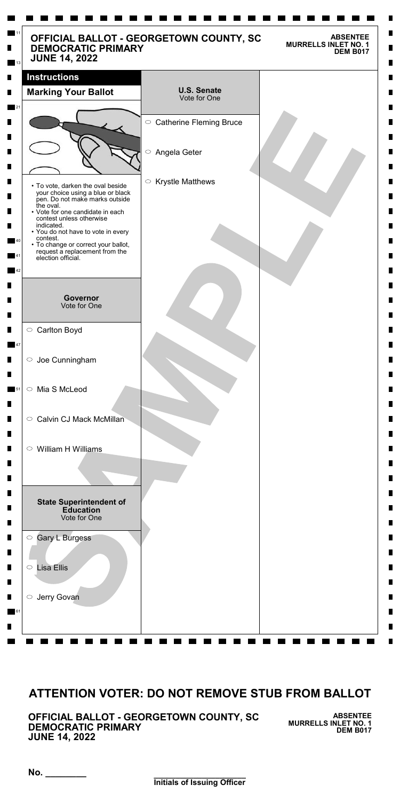**\_\_\_\_\_\_\_\_\_\_\_\_\_\_\_\_\_\_\_\_\_ Initials of Issuing Officer**

**No. \_\_\_\_\_\_\_\_**

**OFFICIAL BALLOT - GEORGETOWN COUNTY, SC DEMOCRATIC PRIMARY JUNE 14, 2022**

**ABSENTEE MURRELLS INLET NO. 1 DEM B017**

| <b>DEMOCRATIC PRIMARY</b><br><b>JUNE 14, 2022</b>                                                                                                                                                                                                                                                                                                    | OFFICIAL BALLOT - GEORGETOWN COUNTY, SC<br><b>ABSENTEE</b><br><b>MURRELLS INLET NO. 1</b><br><b>DEM B017</b> |
|------------------------------------------------------------------------------------------------------------------------------------------------------------------------------------------------------------------------------------------------------------------------------------------------------------------------------------------------------|--------------------------------------------------------------------------------------------------------------|
| <b>Instructions</b>                                                                                                                                                                                                                                                                                                                                  |                                                                                                              |
| <b>Marking Your Ballot</b>                                                                                                                                                                                                                                                                                                                           | <b>U.S. Senate</b><br>Vote for One                                                                           |
|                                                                                                                                                                                                                                                                                                                                                      | ○ Catherine Fleming Bruce                                                                                    |
|                                                                                                                                                                                                                                                                                                                                                      | $\bigcirc$<br>Angela Geter                                                                                   |
| • To vote, darken the oval beside<br>your choice using a blue or black<br>pen. Do not make marks outside<br>the oval.<br>• Vote for one candidate in each<br>contest unless otherwise<br>indicated.<br>• You do not have to vote in every<br>contest.<br>• To change or correct your ballot,<br>request a replacement from the<br>election official. | <b>Krystle Matthews</b><br>$\bigcirc$                                                                        |
| <b>Governor</b><br>Vote for One                                                                                                                                                                                                                                                                                                                      |                                                                                                              |
| ○ Carlton Boyd                                                                                                                                                                                                                                                                                                                                       |                                                                                                              |
| $\circ$ Joe Cunningham                                                                                                                                                                                                                                                                                                                               |                                                                                                              |
| Mia S McLeod<br>$\bigcirc$                                                                                                                                                                                                                                                                                                                           |                                                                                                              |
| <b>Calvin CJ Mack McMillan</b><br>$\circ$                                                                                                                                                                                                                                                                                                            |                                                                                                              |
| $\circ$ William H Williams                                                                                                                                                                                                                                                                                                                           |                                                                                                              |
| <b>State Superintendent of</b><br><b>Education</b><br>Vote for One                                                                                                                                                                                                                                                                                   |                                                                                                              |
| <b>Gary L Burgess</b><br>$\bigcirc$                                                                                                                                                                                                                                                                                                                  |                                                                                                              |
| <b>Lisa Ellis</b><br>$\bigcirc$                                                                                                                                                                                                                                                                                                                      |                                                                                                              |

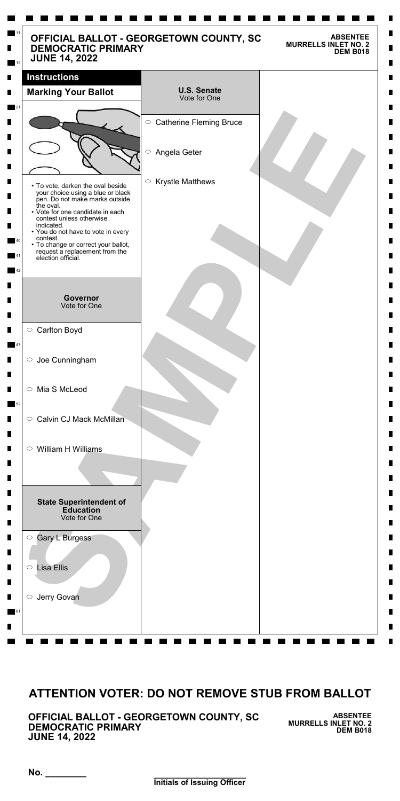**\_\_\_\_\_\_\_\_\_\_\_\_\_\_\_\_\_\_\_\_\_ Initials of Issuing Officer**

**No. \_\_\_\_\_\_\_\_**

**OFFICIAL BALLOT - GEORGETOWN COUNTY, SC DEMOCRATIC PRIMARY JUNE 14, 2022**

**ABSENTEE MURRELLS INLET NO. 2 DEM B018**

| <b>Instructions</b>                                                                                                                           |                                    |  |
|-----------------------------------------------------------------------------------------------------------------------------------------------|------------------------------------|--|
| <b>Marking Your Ballot</b>                                                                                                                    | <b>U.S. Senate</b><br>Vote for One |  |
|                                                                                                                                               | ○ Catherine Fleming Bruce          |  |
|                                                                                                                                               | $\bigcirc$<br>Angela Geter         |  |
| • To vote, darken the oval beside<br>your choice using a blue or black<br>pen. Do not make marks outside                                      | $\circ$ Krystle Matthews           |  |
| the oval.<br>• Vote for one candidate in each<br>contest unless otherwise<br>indicated.                                                       |                                    |  |
| • You do not have to vote in every<br>contest.<br>• To change or correct your ballot,<br>request a replacement from the<br>election official. |                                    |  |
| <b>Governor</b>                                                                                                                               |                                    |  |
| Vote for One                                                                                                                                  |                                    |  |
| ○ Carlton Boyd                                                                                                                                |                                    |  |
| $\circ$ Joe Cunningham                                                                                                                        |                                    |  |
| Mia S McLeod<br>$\bigcirc$                                                                                                                    |                                    |  |
| <b>Calvin CJ Mack McMillan</b><br>$\circ$                                                                                                     |                                    |  |
| $\circ$ William H Williams                                                                                                                    |                                    |  |
|                                                                                                                                               |                                    |  |
| <b>State Superintendent of</b><br><b>Education</b><br>Vote for One                                                                            |                                    |  |
| Gary L Burgess<br>$\bigcirc$                                                                                                                  |                                    |  |

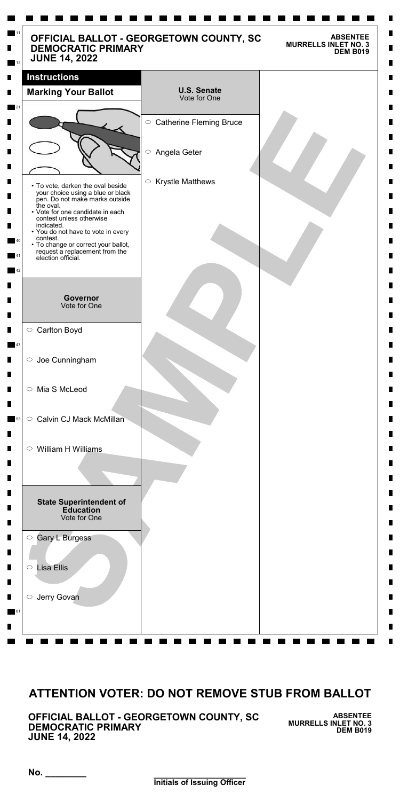**\_\_\_\_\_\_\_\_\_\_\_\_\_\_\_\_\_\_\_\_\_ Initials of Issuing Officer**

**No. \_\_\_\_\_\_\_\_**

**OFFICIAL BALLOT - GEORGETOWN COUNTY, SC DEMOCRATIC PRIMARY JUNE 14, 2022**

**ABSENTEE MURRELLS INLET NO. 3 DEM B019**

| <b>DEMOCRATIC PRIMARY</b><br><b>JUNE 14, 2022</b>                                                                                                                                                                                                                                                                                                    | OFFICIAL BALLOT - GEORGETOWN COUNTY, SC<br><b>ABSENTEE</b><br><b>MURRELLS INLET NO. 3</b><br><b>DEM B019</b> |
|------------------------------------------------------------------------------------------------------------------------------------------------------------------------------------------------------------------------------------------------------------------------------------------------------------------------------------------------------|--------------------------------------------------------------------------------------------------------------|
| <b>Instructions</b>                                                                                                                                                                                                                                                                                                                                  |                                                                                                              |
| <b>Marking Your Ballot</b>                                                                                                                                                                                                                                                                                                                           | <b>U.S. Senate</b><br>Vote for One                                                                           |
|                                                                                                                                                                                                                                                                                                                                                      | ○ Catherine Fleming Bruce                                                                                    |
|                                                                                                                                                                                                                                                                                                                                                      | $\bigcirc$<br>Angela Geter                                                                                   |
| • To vote, darken the oval beside<br>your choice using a blue or black<br>pen. Do not make marks outside<br>the oval.<br>• Vote for one candidate in each<br>contest unless otherwise<br>indicated.<br>• You do not have to vote in every<br>contest.<br>• To change or correct your ballot,<br>request a replacement from the<br>election official. | <b>Krystle Matthews</b><br>$\bigcirc$                                                                        |
| <b>Governor</b><br>Vote for One                                                                                                                                                                                                                                                                                                                      |                                                                                                              |
| ○ Carlton Boyd                                                                                                                                                                                                                                                                                                                                       |                                                                                                              |
| $\circ$ Joe Cunningham                                                                                                                                                                                                                                                                                                                               |                                                                                                              |
| ○ Mia S McLeod                                                                                                                                                                                                                                                                                                                                       |                                                                                                              |
| Calvin CJ Mack McMillan<br>$\circ$                                                                                                                                                                                                                                                                                                                   |                                                                                                              |
| $\circ$ William H Williams                                                                                                                                                                                                                                                                                                                           |                                                                                                              |
| <b>State Superintendent of</b><br><b>Education</b><br>Vote for One                                                                                                                                                                                                                                                                                   |                                                                                                              |
| <b>Gary L Burgess</b><br>$\bigcirc$                                                                                                                                                                                                                                                                                                                  |                                                                                                              |
| <b>Lisa Ellis</b><br>$\bigcirc$                                                                                                                                                                                                                                                                                                                      |                                                                                                              |

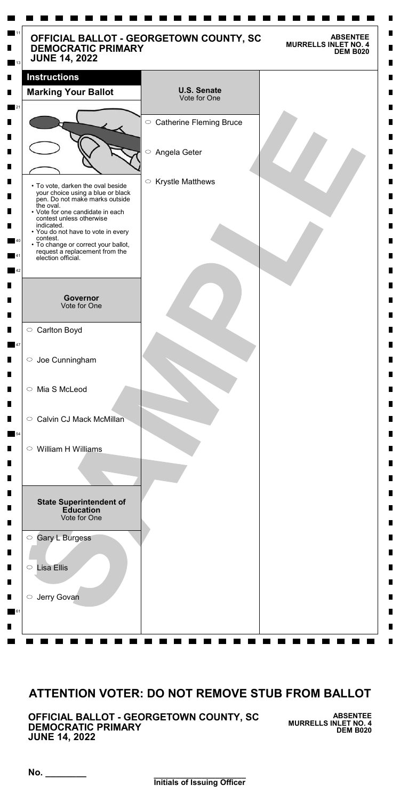**\_\_\_\_\_\_\_\_\_\_\_\_\_\_\_\_\_\_\_\_\_ Initials of Issuing Officer**

**No. \_\_\_\_\_\_\_\_**

**OFFICIAL BALLOT - GEORGETOWN COUNTY, SC DEMOCRATIC PRIMARY JUNE 14, 2022**

**ABSENTEE MURRELLS INLET NO. 4 DEM B020**

| <b>DEMOCRATIC PRIMARY</b><br><b>JUNE 14, 2022</b>                                                                                                                                       | OFFICIAL BALLOT - GEORGETOWN COUNTY, SC | <b>ABSENTEE</b><br><b>MURRELLS INLET NO. 4</b><br><b>DEM B020</b> |
|-----------------------------------------------------------------------------------------------------------------------------------------------------------------------------------------|-----------------------------------------|-------------------------------------------------------------------|
| <b>Instructions</b>                                                                                                                                                                     |                                         |                                                                   |
| <b>Marking Your Ballot</b>                                                                                                                                                              | <b>U.S. Senate</b><br>Vote for One      |                                                                   |
|                                                                                                                                                                                         | ○ Catherine Fleming Bruce               |                                                                   |
|                                                                                                                                                                                         | $\bigcirc$<br>Angela Geter              |                                                                   |
| • To vote, darken the oval beside<br>your choice using a blue or black<br>pen. Do not make marks outside<br>the oval.<br>• Vote for one candidate in each                               | <b>Krystle Matthews</b><br>$\bigcirc$   |                                                                   |
| contest unless otherwise<br>indicated.<br>• You do not have to vote in every<br>contest.<br>• To change or correct your ballot,<br>request a replacement from the<br>election official. |                                         |                                                                   |
|                                                                                                                                                                                         |                                         |                                                                   |
| <b>Governor</b><br>Vote for One                                                                                                                                                         |                                         |                                                                   |
| ○ Carlton Boyd                                                                                                                                                                          |                                         |                                                                   |
| $\circ$ Joe Cunningham                                                                                                                                                                  |                                         |                                                                   |
| ○ Mia S McLeod                                                                                                                                                                          |                                         |                                                                   |
| <b>Calvin CJ Mack McMillan</b><br>$\circ$                                                                                                                                               |                                         |                                                                   |
| William H Williams<br>$\circ$                                                                                                                                                           |                                         |                                                                   |
|                                                                                                                                                                                         |                                         |                                                                   |
| <b>State Superintendent of</b><br><b>Education</b><br>Vote for One                                                                                                                      |                                         |                                                                   |
| <b>Gary L Burgess</b><br>$\bigcirc$                                                                                                                                                     |                                         |                                                                   |
| <b>Lisa Ellis</b><br>$\bigcirc$                                                                                                                                                         |                                         |                                                                   |

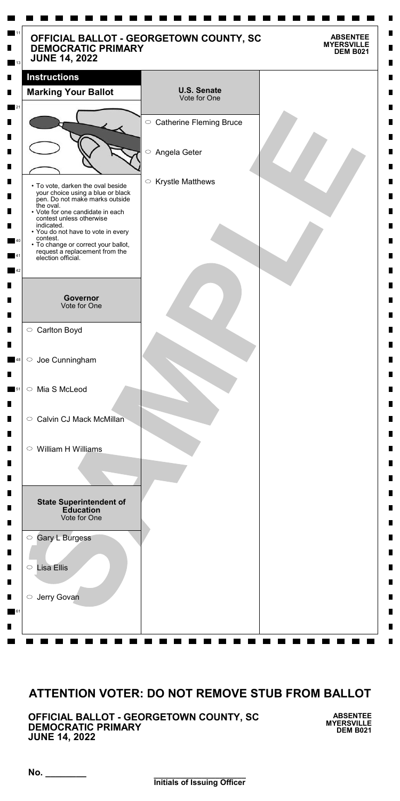**\_\_\_\_\_\_\_\_\_\_\_\_\_\_\_\_\_\_\_\_\_ Initials of Issuing Officer**

**No. \_\_\_\_\_\_\_\_**

**OFFICIAL BALLOT - GEORGETOWN COUNTY, SC DEMOCRATIC PRIMARY JUNE 14, 2022**

**ABSENTEE MYERSVILLE DEM B021**

| OFFICIAL BALLOT - GEORGETOWN COUNTY, SC<br><b>DEMOCRATIC PRIMARY</b><br><b>JUNE 14, 2022</b> |                                       | <b>ABSENTEE</b><br><b>MYERSVILLE</b><br><b>DEM B021</b> |
|----------------------------------------------------------------------------------------------|---------------------------------------|---------------------------------------------------------|
| <b>Instructions</b>                                                                          |                                       |                                                         |
| <b>Marking Your Ballot</b>                                                                   | <b>U.S. Senate</b><br>Vote for One    |                                                         |
|                                                                                              | ○ Catherine Fleming Bruce             |                                                         |
|                                                                                              |                                       |                                                         |
|                                                                                              | $\bigcirc$<br>Angela Geter            |                                                         |
| • To vote, darken the oval beside                                                            | <b>Krystle Matthews</b><br>$\bigcirc$ |                                                         |
| your choice using a blue or black<br>pen. Do not make marks outside<br>the oval.             |                                       |                                                         |
| • Vote for one candidate in each<br>contest unless otherwise<br>indicated.                   |                                       |                                                         |
| • You do not have to vote in every<br>contest.<br>• To change or correct your ballot,        |                                       |                                                         |
| request a replacement from the<br>election official.                                         |                                       |                                                         |
|                                                                                              |                                       |                                                         |
| <b>Governor</b><br>Vote for One                                                              |                                       |                                                         |
| ○ Carlton Boyd                                                                               |                                       |                                                         |
| Joe Cunningham<br>$\circ$                                                                    |                                       |                                                         |
| Mia S McLeod<br>$\bigcirc$                                                                   |                                       |                                                         |
| <b>Calvin CJ Mack McMillan</b><br>$\circ$                                                    |                                       |                                                         |
| William H Williams<br>$\circ$                                                                |                                       |                                                         |
|                                                                                              |                                       |                                                         |
| <b>State Superintendent of</b>                                                               |                                       |                                                         |
| <b>Education</b><br>Vote for One                                                             |                                       |                                                         |
| <b>Gary L Burgess</b><br>$\bigcirc$                                                          |                                       |                                                         |
| <b>Lisa Ellis</b><br>$\bigcirc$                                                              |                                       |                                                         |

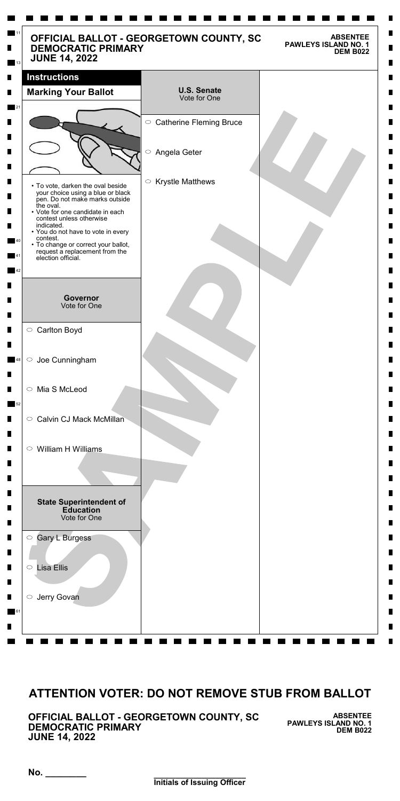**\_\_\_\_\_\_\_\_\_\_\_\_\_\_\_\_\_\_\_\_\_ Initials of Issuing Officer**

**No. \_\_\_\_\_\_\_\_**

**OFFICIAL BALLOT - GEORGETOWN COUNTY, SC DEMOCRATIC PRIMARY JUNE 14, 2022**

**ABSENTEE PAWLEYS ISLAND NO. 1 DEM B022**

| <b>Instructions</b><br><b>Marking Your Ballot</b>                                                                                   | <b>U.S. Senate</b><br>Vote for One |  |
|-------------------------------------------------------------------------------------------------------------------------------------|------------------------------------|--|
|                                                                                                                                     |                                    |  |
|                                                                                                                                     | ○ Catherine Fleming Bruce          |  |
| $\bigcirc$                                                                                                                          | Angela Geter                       |  |
| $\bigcirc$<br>• To vote, darken the oval beside<br>your choice using a blue or black<br>pen. Do not make marks outside<br>the oval. | <b>Krystle Matthews</b>            |  |
| • Vote for one candidate in each<br>contest unless otherwise<br>indicated.<br>• You do not have to vote in every                    |                                    |  |
| contest.<br>• To change or correct your ballot,<br>request a replacement from the<br>election official.                             |                                    |  |
| <b>Governor</b>                                                                                                                     |                                    |  |
| Vote for One                                                                                                                        |                                    |  |
| ○ Carlton Boyd                                                                                                                      |                                    |  |
| $\circ$ Joe Cunningham                                                                                                              |                                    |  |
| Mia S McLeod<br>$\circ$                                                                                                             |                                    |  |
| Calvin CJ Mack McMillan<br>$\circ$                                                                                                  |                                    |  |
| $\circ$ William H Williams                                                                                                          |                                    |  |
|                                                                                                                                     |                                    |  |
| <b>State Superintendent of</b>                                                                                                      |                                    |  |

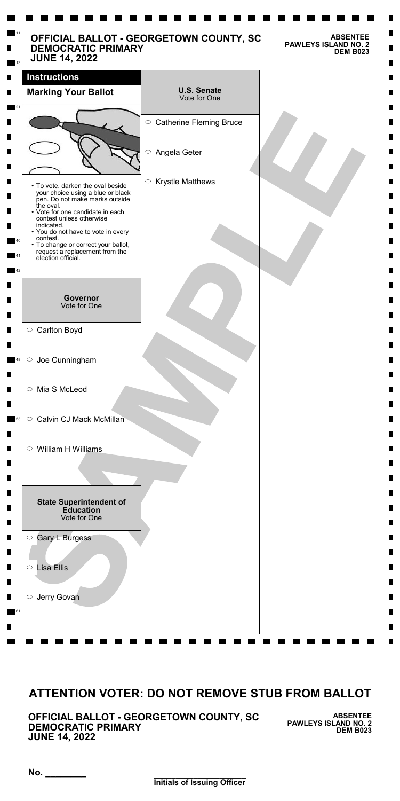**\_\_\_\_\_\_\_\_\_\_\_\_\_\_\_\_\_\_\_\_\_ Initials of Issuing Officer**

**No. \_\_\_\_\_\_\_\_**

**OFFICIAL BALLOT - GEORGETOWN COUNTY, SC DEMOCRATIC PRIMARY JUNE 14, 2022**

**ABSENTEE PAWLEYS ISLAND NO. 2 DEM B023**

| <b>DEMOCRATIC PRIMARY</b><br><b>JUNE 14, 2022</b>                                                                             | <b>PAWLEYS ISLAND NO. 2</b><br><b>DEM B023</b> |  |
|-------------------------------------------------------------------------------------------------------------------------------|------------------------------------------------|--|
| <b>Instructions</b>                                                                                                           |                                                |  |
| <b>Marking Your Ballot</b>                                                                                                    | <b>U.S. Senate</b><br>Vote for One             |  |
|                                                                                                                               | ○ Catherine Fleming Bruce                      |  |
|                                                                                                                               | $\bigcirc$<br>Angela Geter                     |  |
| • To vote, darken the oval beside<br>your choice using a blue or black<br>pen. Do not make marks outside                      | $\circ$ Krystle Matthews                       |  |
| the oval.<br>• Vote for one candidate in each<br>contest unless otherwise<br>indicated.<br>• You do not have to vote in every |                                                |  |
| contest.<br>• To change or correct your ballot,<br>request a replacement from the<br>election official.                       |                                                |  |
|                                                                                                                               |                                                |  |
| Governor<br>Vote for One                                                                                                      |                                                |  |
| ○ Carlton Boyd                                                                                                                |                                                |  |
| Joe Cunningham<br>$\bigcirc$                                                                                                  |                                                |  |
| ○ Mia S McLeod                                                                                                                |                                                |  |
| Calvin CJ Mack McMillan<br>$\circ$                                                                                            |                                                |  |
| William H Williams<br>$\circ$                                                                                                 |                                                |  |
| <b>State Superintendent of</b><br><b>Education</b><br>Vote for One                                                            |                                                |  |
| Gary L Burgess<br>$\bigcirc$                                                                                                  |                                                |  |
|                                                                                                                               |                                                |  |

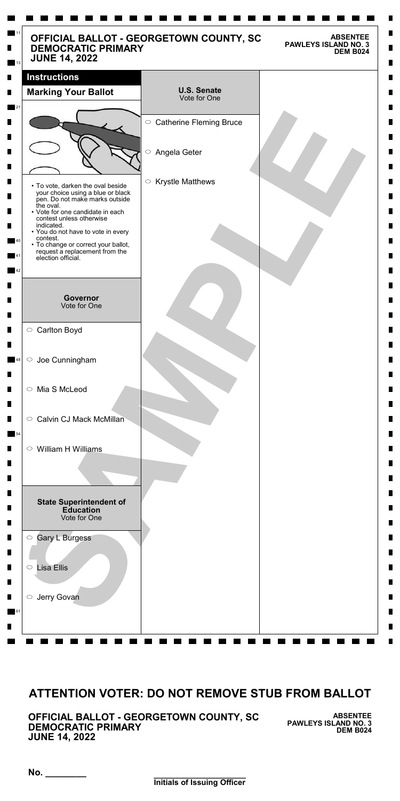**\_\_\_\_\_\_\_\_\_\_\_\_\_\_\_\_\_\_\_\_\_ Initials of Issuing Officer**

**No. \_\_\_\_\_\_\_\_**

**OFFICIAL BALLOT - GEORGETOWN COUNTY, SC DEMOCRATIC PRIMARY JUNE 14, 2022**

**ABSENTEE PAWLEYS ISLAND NO. 3 DEM B024**

| <b>Instructions</b>                                                                                                                                                                   |                                       |
|---------------------------------------------------------------------------------------------------------------------------------------------------------------------------------------|---------------------------------------|
| <b>Marking Your Ballot</b>                                                                                                                                                            | <b>U.S. Senate</b><br>Vote for One    |
|                                                                                                                                                                                       | ○ Catherine Fleming Bruce             |
|                                                                                                                                                                                       | $\bigcirc$<br>Angela Geter            |
| • To vote, darken the oval beside<br>your choice using a blue or black<br>pen. Do not make marks outside<br>the oval.<br>• Vote for one candidate in each<br>contest unless otherwise | <b>Krystle Matthews</b><br>$\bigcirc$ |
| indicated.<br>• You do not have to vote in every<br>contest.<br>• To change or correct your ballot,<br>request a replacement from the<br>election official.                           |                                       |
| <b>Governor</b><br>Vote for One                                                                                                                                                       |                                       |
| ○ Carlton Boyd                                                                                                                                                                        |                                       |
| $\circ$ Joe Cunningham                                                                                                                                                                |                                       |
| ○ Mia S McLeod                                                                                                                                                                        |                                       |
| Calvin CJ Mack McMillan<br>$\circ$                                                                                                                                                    |                                       |
| $\circ$ William H Williams                                                                                                                                                            |                                       |
| <b>State Superintendent of</b><br><b>Education</b><br>Vote for One                                                                                                                    |                                       |

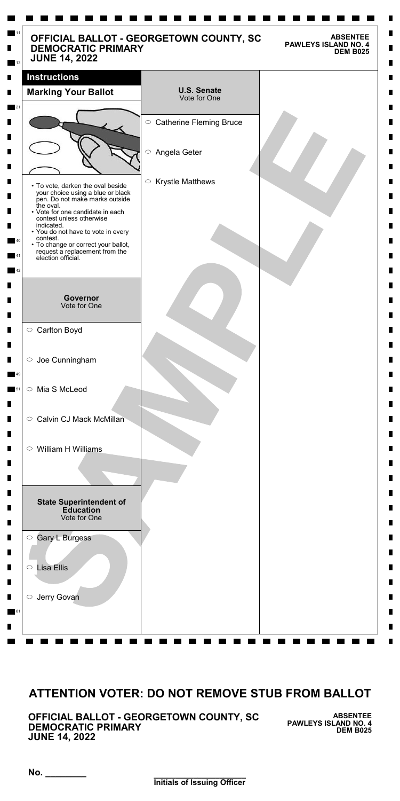**\_\_\_\_\_\_\_\_\_\_\_\_\_\_\_\_\_\_\_\_\_ Initials of Issuing Officer**

**No. \_\_\_\_\_\_\_\_**

**OFFICIAL BALLOT - GEORGETOWN COUNTY, SC DEMOCRATIC PRIMARY JUNE 14, 2022**

**ABSENTEE PAWLEYS ISLAND NO. 4 DEM B025**

| <b>DEMOCRATIC PRIMARY</b><br><b>JUNE 14, 2022</b>                                                                                                                                                                                                                                                                                                    | OFFICIAL BALLOT - GEORGETOWN COUNTY, SC<br><b>ABSENTEE</b><br><b>PAWLEYS ISLAND NO. 4</b><br><b>DEM B025</b> |
|------------------------------------------------------------------------------------------------------------------------------------------------------------------------------------------------------------------------------------------------------------------------------------------------------------------------------------------------------|--------------------------------------------------------------------------------------------------------------|
| <b>Instructions</b>                                                                                                                                                                                                                                                                                                                                  |                                                                                                              |
| <b>Marking Your Ballot</b>                                                                                                                                                                                                                                                                                                                           | <b>U.S. Senate</b><br>Vote for One                                                                           |
|                                                                                                                                                                                                                                                                                                                                                      | ○ Catherine Fleming Bruce                                                                                    |
|                                                                                                                                                                                                                                                                                                                                                      | $\bigcirc$<br>Angela Geter                                                                                   |
| • To vote, darken the oval beside<br>your choice using a blue or black<br>pen. Do not make marks outside<br>the oval.<br>• Vote for one candidate in each<br>contest unless otherwise<br>indicated.<br>• You do not have to vote in every<br>contest.<br>• To change or correct your ballot,<br>request a replacement from the<br>election official. | <b>Krystle Matthews</b><br>$\bigcirc$                                                                        |
| <b>Governor</b><br>Vote for One                                                                                                                                                                                                                                                                                                                      |                                                                                                              |
| ○ Carlton Boyd                                                                                                                                                                                                                                                                                                                                       |                                                                                                              |
| $\circ$ Joe Cunningham                                                                                                                                                                                                                                                                                                                               |                                                                                                              |
| Mia S McLeod<br>$\circ$                                                                                                                                                                                                                                                                                                                              |                                                                                                              |
| Calvin CJ Mack McMillan<br>$\circ$                                                                                                                                                                                                                                                                                                                   |                                                                                                              |
| $\circ$ William H Williams                                                                                                                                                                                                                                                                                                                           |                                                                                                              |
| <b>State Superintendent of</b><br><b>Education</b><br>Vote for One                                                                                                                                                                                                                                                                                   |                                                                                                              |
| <b>Gary L Burgess</b><br>$\bigcirc$                                                                                                                                                                                                                                                                                                                  |                                                                                                              |
| <b>Lisa Ellis</b><br>$\bigcirc$                                                                                                                                                                                                                                                                                                                      |                                                                                                              |

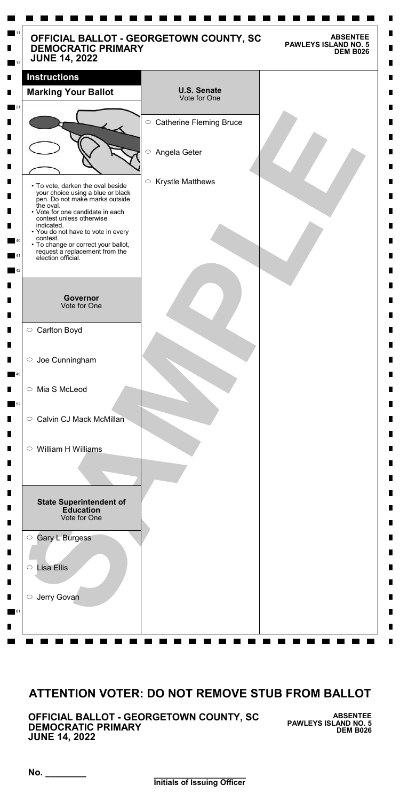**\_\_\_\_\_\_\_\_\_\_\_\_\_\_\_\_\_\_\_\_\_ Initials of Issuing Officer**

**No. \_\_\_\_\_\_\_\_**

**OFFICIAL BALLOT - GEORGETOWN COUNTY, SC DEMOCRATIC PRIMARY JUNE 14, 2022**

**ABSENTEE PAWLEYS ISLAND NO. 5 DEM B026**

| <b>Instructions</b>                                                                                                   |                                       |
|-----------------------------------------------------------------------------------------------------------------------|---------------------------------------|
| <b>Marking Your Ballot</b>                                                                                            | <b>U.S. Senate</b><br>Vote for One    |
|                                                                                                                       | ○ Catherine Fleming Bruce             |
|                                                                                                                       | $\bigcirc$<br>Angela Geter            |
| • To vote, darken the oval beside<br>your choice using a blue or black<br>pen. Do not make marks outside<br>the oval. | <b>Krystle Matthews</b><br>$\bigcirc$ |
| • Vote for one candidate in each<br>contest unless otherwise<br>indicated.<br>• You do not have to vote in every      |                                       |
| contest.<br>• To change or correct your ballot,<br>request a replacement from the<br>election official.               |                                       |
| <b>Governor</b>                                                                                                       |                                       |
| Vote for One                                                                                                          |                                       |
| ○ Carlton Boyd                                                                                                        |                                       |
| $\circ$ Joe Cunningham                                                                                                |                                       |
| Mia S McLeod<br>$\bigcirc$                                                                                            |                                       |
| Calvin CJ Mack McMillan<br>$\circ$                                                                                    |                                       |
| $\circ$ William H Williams                                                                                            |                                       |
|                                                                                                                       |                                       |
| <b>State Superintendent of</b><br><b>Education</b><br>Vote for One                                                    |                                       |

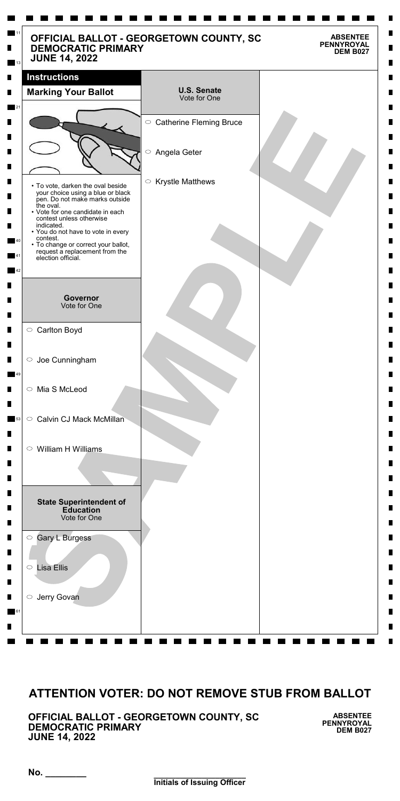**\_\_\_\_\_\_\_\_\_\_\_\_\_\_\_\_\_\_\_\_\_ Initials of Issuing Officer**

**No. \_\_\_\_\_\_\_\_**

**OFFICIAL BALLOT - GEORGETOWN COUNTY, SC DEMOCRATIC PRIMARY JUNE 14, 2022**

**ABSENTEE PENNYROYAL DEM B027**

| <b>DEMOCRATIC PRIMARY</b><br><b>JUNE 14, 2022</b>                                                                             | OFFICIAL BALLOT - GEORGETOWN COUNTY, SC | <b>ABSENTEE</b><br><b>PENNYROYAL</b><br><b>DEM B027</b> |
|-------------------------------------------------------------------------------------------------------------------------------|-----------------------------------------|---------------------------------------------------------|
| <b>Instructions</b>                                                                                                           |                                         |                                                         |
| <b>Marking Your Ballot</b>                                                                                                    | <b>U.S. Senate</b><br>Vote for One      |                                                         |
|                                                                                                                               | ○ Catherine Fleming Bruce               |                                                         |
|                                                                                                                               | $\bigcirc$<br>Angela Geter              |                                                         |
| • To vote, darken the oval beside<br>your choice using a blue or black<br>pen. Do not make marks outside                      | $\circ$ Krystle Matthews                |                                                         |
| the oval.<br>• Vote for one candidate in each<br>contest unless otherwise<br>indicated.<br>• You do not have to vote in every |                                         |                                                         |
| contest.<br>• To change or correct your ballot,<br>request a replacement from the<br>election official.                       |                                         |                                                         |
| Governor<br>Vote for One                                                                                                      |                                         |                                                         |
| ○ Carlton Boyd                                                                                                                |                                         |                                                         |
| $\circ$ Joe Cunningham                                                                                                        |                                         |                                                         |
| Mia S McLeod<br>$\bigcirc$                                                                                                    |                                         |                                                         |
| <b>Calvin CJ Mack McMillan</b><br>$\circ$                                                                                     |                                         |                                                         |
| William H Williams<br>$\circ$                                                                                                 |                                         |                                                         |
|                                                                                                                               |                                         |                                                         |
| <b>State Superintendent of</b><br><b>Education</b><br>Vote for One                                                            |                                         |                                                         |
| Gary L Burgess<br>$\bigcirc$                                                                                                  |                                         |                                                         |
| <b>Lisa Ellis</b><br>$\bigcirc$                                                                                               |                                         |                                                         |

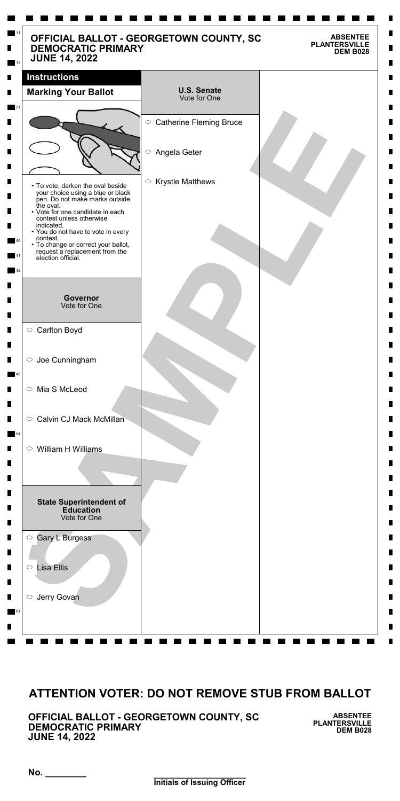**\_\_\_\_\_\_\_\_\_\_\_\_\_\_\_\_\_\_\_\_\_ Initials of Issuing Officer**

**No. \_\_\_\_\_\_\_\_**

**OFFICIAL BALLOT - GEORGETOWN COUNTY, SC DEMOCRATIC PRIMARY JUNE 14, 2022**

**ABSENTEE PLANTERSVILLE DEM B028**

| OFFICIAL BALLOT - GEORGETOWN COUNTY, SC<br><b>DEMOCRATIC PRIMARY</b><br><b>JUNE 14, 2022</b>             |                                       | <b>ABSENTEE</b><br><b>PLANTERSVILLE</b><br><b>DEM B028</b> |
|----------------------------------------------------------------------------------------------------------|---------------------------------------|------------------------------------------------------------|
| <b>Instructions</b>                                                                                      |                                       |                                                            |
| <b>Marking Your Ballot</b>                                                                               | <b>U.S. Senate</b><br>Vote for One    |                                                            |
|                                                                                                          | ○ Catherine Fleming Bruce             |                                                            |
|                                                                                                          |                                       |                                                            |
|                                                                                                          | $\bigcirc$<br>Angela Geter            |                                                            |
| • To vote, darken the oval beside<br>your choice using a blue or black<br>pen. Do not make marks outside | <b>Krystle Matthews</b><br>$\bigcirc$ |                                                            |
| the oval.<br>• Vote for one candidate in each<br>contest unless otherwise<br>indicated.                  |                                       |                                                            |
| • You do not have to vote in every<br>contest.<br>• To change or correct your ballot,                    |                                       |                                                            |
| request a replacement from the<br>election official.                                                     |                                       |                                                            |
|                                                                                                          |                                       |                                                            |
| <b>Governor</b><br>Vote for One                                                                          |                                       |                                                            |
| ○ Carlton Boyd                                                                                           |                                       |                                                            |
| Joe Cunningham<br>$\bigcirc$                                                                             |                                       |                                                            |
| Mia S McLeod<br>$\bigcirc$                                                                               |                                       |                                                            |
| <b>Calvin CJ Mack McMillan</b><br>$\circ$                                                                |                                       |                                                            |
| William H Williams<br>$\circ$                                                                            |                                       |                                                            |
|                                                                                                          |                                       |                                                            |
| <b>State Superintendent of</b><br><b>Education</b><br>Vote for One                                       |                                       |                                                            |
| <b>Gary L Burgess</b><br>$\bigcirc$                                                                      |                                       |                                                            |
| <b>Lisa Ellis</b><br>$\bigcirc$                                                                          |                                       |                                                            |

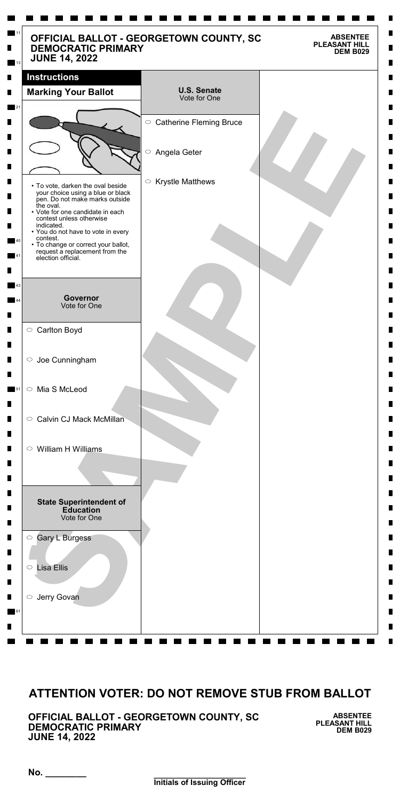**\_\_\_\_\_\_\_\_\_\_\_\_\_\_\_\_\_\_\_\_\_ Initials of Issuing Officer**

**No. \_\_\_\_\_\_\_\_**

**OFFICIAL BALLOT - GEORGETOWN COUNTY, SC DEMOCRATIC PRIMARY JUNE 14, 2022**

**ABSENTEE PLEASANT HILL DEM B029**

| OFFICIAL BALLOT - GEORGETOWN COUNTY, SC<br><b>DEMOCRATIC PRIMARY</b><br><b>JUNE 14, 2022</b>                                                  |                                       | <b>ABSENTEE</b><br><b>PLEASANT HILL</b><br><b>DEM B029</b> |
|-----------------------------------------------------------------------------------------------------------------------------------------------|---------------------------------------|------------------------------------------------------------|
| <b>Instructions</b>                                                                                                                           |                                       |                                                            |
| <b>Marking Your Ballot</b>                                                                                                                    | <b>U.S. Senate</b><br>Vote for One    |                                                            |
|                                                                                                                                               | ○ Catherine Fleming Bruce             |                                                            |
|                                                                                                                                               | $\bigcirc$<br>Angela Geter            |                                                            |
| • To vote, darken the oval beside<br>your choice using a blue or black<br>pen. Do not make marks outside                                      | <b>Krystle Matthews</b><br>$\bigcirc$ |                                                            |
| the oval.<br>• Vote for one candidate in each<br>contest unless otherwise<br>indicated.                                                       |                                       |                                                            |
| • You do not have to vote in every<br>contest.<br>• To change or correct your ballot,<br>request a replacement from the<br>election official. |                                       |                                                            |
|                                                                                                                                               |                                       |                                                            |
| <b>Governor</b><br>Vote for One                                                                                                               |                                       |                                                            |
| ○ Carlton Boyd                                                                                                                                |                                       |                                                            |
| $\circ$ Joe Cunningham                                                                                                                        |                                       |                                                            |
| Mia S McLeod<br>$\bigcirc$                                                                                                                    |                                       |                                                            |
| <b>Calvin CJ Mack McMillan</b><br>$\circ$                                                                                                     |                                       |                                                            |
| William H Williams<br>$\circ$                                                                                                                 |                                       |                                                            |
|                                                                                                                                               |                                       |                                                            |
| <b>State Superintendent of</b><br><b>Education</b><br>Vote for One                                                                            |                                       |                                                            |
| <b>Gary L Burgess</b><br>$\bigcirc$                                                                                                           |                                       |                                                            |
| <b>Lisa Ellis</b><br>$\bigcirc$                                                                                                               |                                       |                                                            |

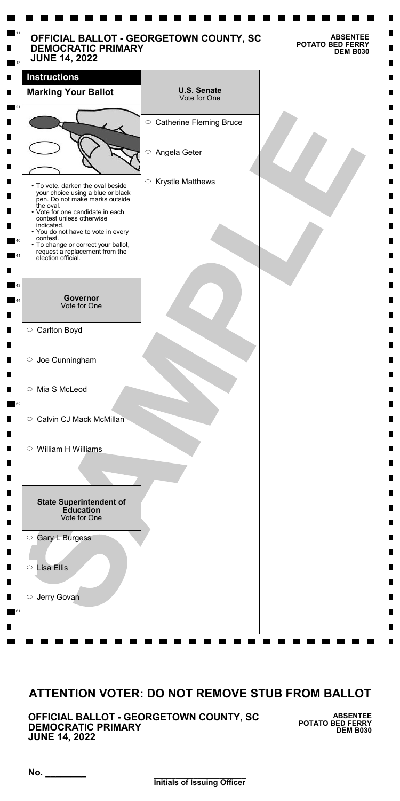**\_\_\_\_\_\_\_\_\_\_\_\_\_\_\_\_\_\_\_\_\_ Initials of Issuing Officer**

**No. \_\_\_\_\_\_\_\_**

**OFFICIAL BALLOT - GEORGETOWN COUNTY, SC DEMOCRATIC PRIMARY JUNE 14, 2022**

**ABSENTEE POTATO BED FERRY DEM B030**

| <b>DEMOCRATIC PRIMARY</b><br><b>JUNE 14, 2022</b>                                                                                             | OFFICIAL BALLOT - GEORGETOWN COUNTY, SC | <b>POTATO BED FERRY</b><br><b>DEM B030</b> |
|-----------------------------------------------------------------------------------------------------------------------------------------------|-----------------------------------------|--------------------------------------------|
| <b>Instructions</b>                                                                                                                           |                                         |                                            |
| <b>Marking Your Ballot</b>                                                                                                                    | <b>U.S. Senate</b><br>Vote for One      |                                            |
|                                                                                                                                               | ○ Catherine Fleming Bruce               |                                            |
|                                                                                                                                               |                                         |                                            |
|                                                                                                                                               | $\bigcirc$<br>Angela Geter              |                                            |
| • To vote, darken the oval beside<br>your choice using a blue or black<br>pen. Do not make marks outside                                      | <b>Krystle Matthews</b><br>$\bigcirc$   |                                            |
| the oval.<br>• Vote for one candidate in each<br>contest unless otherwise<br>indicated.                                                       |                                         |                                            |
| • You do not have to vote in every<br>contest.<br>• To change or correct your ballot,<br>request a replacement from the<br>election official. |                                         |                                            |
|                                                                                                                                               |                                         |                                            |
| <b>Governor</b><br>Vote for One                                                                                                               |                                         |                                            |
| ○ Carlton Boyd                                                                                                                                |                                         |                                            |
| $\circ$ Joe Cunningham                                                                                                                        |                                         |                                            |
| Mia S McLeod<br>$\circ$                                                                                                                       |                                         |                                            |
| <b>Calvin CJ Mack McMillan</b><br>$\circ$                                                                                                     |                                         |                                            |
| William H Williams<br>$\circ$                                                                                                                 |                                         |                                            |
|                                                                                                                                               |                                         |                                            |
| <b>State Superintendent of</b><br><b>Education</b><br>Vote for One                                                                            |                                         |                                            |
| <b>Gary L Burgess</b><br>$\bigcirc$                                                                                                           |                                         |                                            |
| <b>Lisa Ellis</b><br>$\bigcirc$                                                                                                               |                                         |                                            |

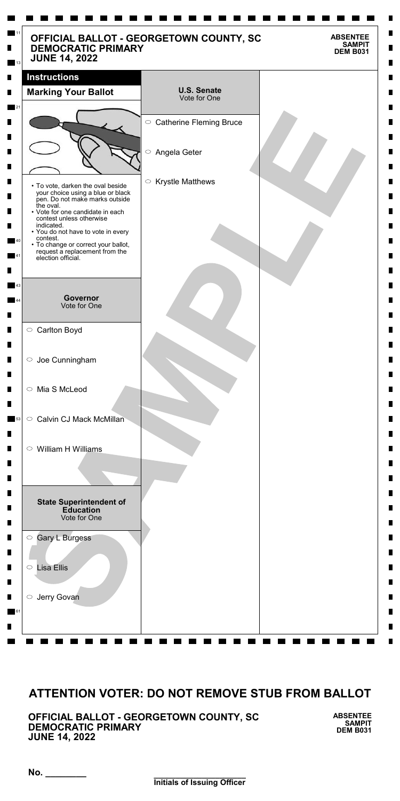**\_\_\_\_\_\_\_\_\_\_\_\_\_\_\_\_\_\_\_\_\_ Initials of Issuing Officer**

**No. \_\_\_\_\_\_\_\_**

**OFFICIAL BALLOT - GEORGETOWN COUNTY, SC DEMOCRATIC PRIMARY JUNE 14, 2022**

**ABSENTEE SAMPIT DEM B031**

| <b>DEMOCRATIC PRIMARY</b><br><b>JUNE 14, 2022</b>                                                                             | OFFICIAL BALLOT - GEORGETOWN COUNTY, SC        | <b>ABSENTEE</b><br><b>SAMPIT</b><br><b>DEM B031</b> |
|-------------------------------------------------------------------------------------------------------------------------------|------------------------------------------------|-----------------------------------------------------|
| <b>Instructions</b>                                                                                                           |                                                |                                                     |
| <b>Marking Your Ballot</b>                                                                                                    | <b>U.S. Senate</b><br>Vote for One             |                                                     |
|                                                                                                                               | ○ Catherine Fleming Bruce                      |                                                     |
|                                                                                                                               | $\bigcirc$<br>Angela Geter                     |                                                     |
| • To vote, darken the oval beside<br>your choice using a blue or black<br>pen. Do not make marks outside                      | <b>Krystle Matthews</b><br>$\circlearrowright$ |                                                     |
| the oval.<br>• Vote for one candidate in each<br>contest unless otherwise<br>indicated.<br>• You do not have to vote in every |                                                |                                                     |
| contest.<br>• To change or correct your ballot,<br>request a replacement from the<br>election official.                       |                                                |                                                     |
|                                                                                                                               |                                                |                                                     |
| Governor<br><b>Vote for One</b>                                                                                               |                                                |                                                     |
| ○ Carlton Boyd                                                                                                                |                                                |                                                     |
| $\circ$ Joe Cunningham                                                                                                        |                                                |                                                     |
| ○ Mia S McLeod                                                                                                                |                                                |                                                     |
| <b>Calvin CJ Mack McMillan</b><br>$\bigcirc$                                                                                  |                                                |                                                     |
| $\circ$ William H Williams                                                                                                    |                                                |                                                     |
|                                                                                                                               |                                                |                                                     |
| <b>State Superintendent of</b><br><b>Education</b><br>Vote for One                                                            |                                                |                                                     |
| Gary L Burgess<br>$\bigcirc$                                                                                                  |                                                |                                                     |
| <b>Lisa Ellis</b><br>$\bigcirc$                                                                                               |                                                |                                                     |

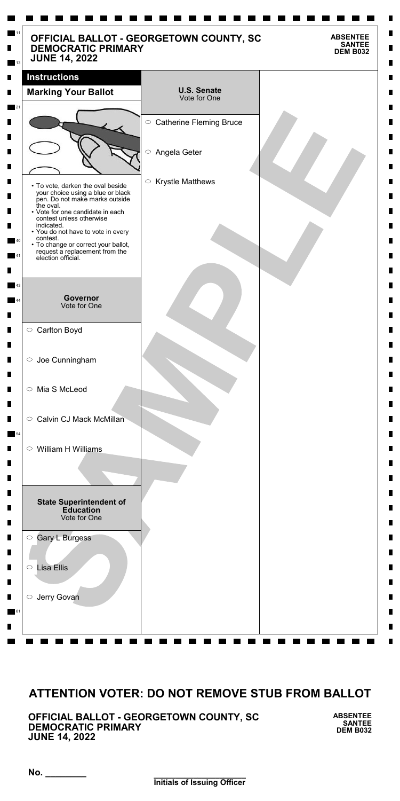**\_\_\_\_\_\_\_\_\_\_\_\_\_\_\_\_\_\_\_\_\_ Initials of Issuing Officer**

**No. \_\_\_\_\_\_\_\_**

**OFFICIAL BALLOT - GEORGETOWN COUNTY, SC DEMOCRATIC PRIMARY JUNE 14, 2022**

**ABSENTEE SANTEE DEM B032**

| <b>DEMOCRATIC PRIMARY</b><br><b>JUNE 14, 2022</b>                                                                             | OFFICIAL BALLOT - GEORGETOWN COUNTY, SC        | <b>ABSENTEE</b><br><b>SANTEE</b><br><b>DEM B032</b> |
|-------------------------------------------------------------------------------------------------------------------------------|------------------------------------------------|-----------------------------------------------------|
| <b>Instructions</b>                                                                                                           |                                                |                                                     |
| <b>Marking Your Ballot</b>                                                                                                    | <b>U.S. Senate</b><br>Vote for One             |                                                     |
|                                                                                                                               | ○ Catherine Fleming Bruce                      |                                                     |
|                                                                                                                               | $\bigcirc$<br>Angela Geter                     |                                                     |
| • To vote, darken the oval beside<br>your choice using a blue or black<br>pen. Do not make marks outside                      | <b>Krystle Matthews</b><br>$\circlearrowright$ |                                                     |
| the oval.<br>• Vote for one candidate in each<br>contest unless otherwise<br>indicated.<br>• You do not have to vote in every |                                                |                                                     |
| contest.<br>• To change or correct your ballot,<br>request a replacement from the<br>election official.                       |                                                |                                                     |
|                                                                                                                               |                                                |                                                     |
| Governor<br><b>Vote for One</b>                                                                                               |                                                |                                                     |
| ○ Carlton Boyd                                                                                                                |                                                |                                                     |
| $\circ$ Joe Cunningham                                                                                                        |                                                |                                                     |
| ○ Mia S McLeod                                                                                                                |                                                |                                                     |
| <b>Calvin CJ Mack McMillan</b><br>$\bigcirc$                                                                                  |                                                |                                                     |
| $\circ$ William H Williams                                                                                                    |                                                |                                                     |
|                                                                                                                               |                                                |                                                     |
| <b>State Superintendent of</b><br><b>Education</b><br>Vote for One                                                            |                                                |                                                     |
| Gary L Burgess<br>$\bigcirc$                                                                                                  |                                                |                                                     |
| <b>Lisa Ellis</b><br>$\bigcirc$                                                                                               |                                                |                                                     |

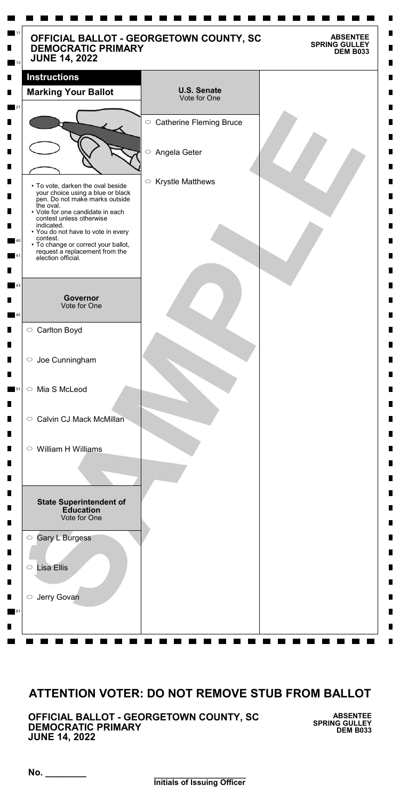**\_\_\_\_\_\_\_\_\_\_\_\_\_\_\_\_\_\_\_\_\_ Initials of Issuing Officer**

**No. \_\_\_\_\_\_\_\_**

**OFFICIAL BALLOT - GEORGETOWN COUNTY, SC DEMOCRATIC PRIMARY JUNE 14, 2022**

**ABSENTEE SPRING GULLEY DEM B033**

| <b>DEMOCRATIC PRIMARY</b><br><b>JUNE 14, 2022</b>                                                        | OFFICIAL BALLOT - GEORGETOWN COUNTY, SC | <b>ABSENTEE</b><br><b>SPRING GULLEY</b><br><b>DEM B033</b> |
|----------------------------------------------------------------------------------------------------------|-----------------------------------------|------------------------------------------------------------|
| <b>Instructions</b>                                                                                      |                                         |                                                            |
| <b>Marking Your Ballot</b>                                                                               | <b>U.S. Senate</b><br>Vote for One      |                                                            |
|                                                                                                          | ○ Catherine Fleming Bruce               |                                                            |
|                                                                                                          |                                         |                                                            |
|                                                                                                          | $\bigcirc$<br>Angela Geter              |                                                            |
|                                                                                                          |                                         |                                                            |
| • To vote, darken the oval beside<br>your choice using a blue or black<br>pen. Do not make marks outside | <b>Krystle Matthews</b><br>$\bigcirc$   |                                                            |
| the oval.<br>• Vote for one candidate in each<br>contest unless otherwise                                |                                         |                                                            |
| indicated.<br>• You do not have to vote in every<br>contest.                                             |                                         |                                                            |
| • To change or correct your ballot,<br>request a replacement from the<br>election official.              |                                         |                                                            |
|                                                                                                          |                                         |                                                            |
|                                                                                                          |                                         |                                                            |
| <b>Governor</b><br>Vote for One                                                                          |                                         |                                                            |
| ○ Carlton Boyd                                                                                           |                                         |                                                            |
|                                                                                                          |                                         |                                                            |
| $\circ$ Joe Cunningham                                                                                   |                                         |                                                            |
| Mia S McLeod<br>$\bigcirc$                                                                               |                                         |                                                            |
|                                                                                                          |                                         |                                                            |
| <b>Calvin CJ Mack McMillan</b><br>$\bigcirc$                                                             |                                         |                                                            |
| William H Williams<br>$\circ$                                                                            |                                         |                                                            |
|                                                                                                          |                                         |                                                            |
|                                                                                                          |                                         |                                                            |
| <b>State Superintendent of</b><br><b>Education</b><br>Vote for One                                       |                                         |                                                            |
| <b>Gary L Burgess</b><br>$\bigcirc$                                                                      |                                         |                                                            |
|                                                                                                          |                                         |                                                            |